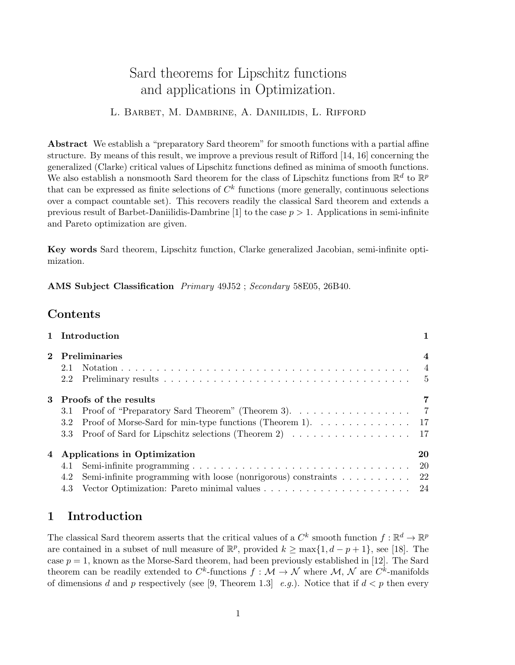# Sard theorems for Lipschitz functions and applications in Optimization.

#### L. Barbet, M. Dambrine, A. Daniilidis, L. Rifford

Abstract We establish a "preparatory Sard theorem" for smooth functions with a partial affine structure. By means of this result, we improve a previous result of Rifford [14, 16] concerning the generalized (Clarke) critical values of Lipschitz functions defined as minima of smooth functions. We also establish a nonsmooth Sard theorem for the class of Lipschitz functions from  $\mathbb{R}^d$  to  $\mathbb{R}^p$ that can be expressed as finite selections of  $C<sup>k</sup>$  functions (more generally, continuous selections over a compact countable set). This recovers readily the classical Sard theorem and extends a previous result of Barbet-Daniilidis-Dambrine [1] to the case  $p > 1$ . Applications in semi-infinite and Pareto optimization are given.

Key words Sard theorem, Lipschitz function, Clarke generalized Jacobian, semi-infinite optimization.

AMS Subject Classification Primary 49J52 ; Secondary 58E05, 26B40.

## Contents

|   | 1 Introduction                                                                                     |                |
|---|----------------------------------------------------------------------------------------------------|----------------|
|   | 2 Preliminaries                                                                                    | $\overline{4}$ |
|   | 2.1                                                                                                |                |
|   | 2.2                                                                                                | - 5            |
|   | 3 Proofs of the results                                                                            |                |
|   | 3.1                                                                                                |                |
|   | Proof of Morse-Sard for min-type functions (Theorem 1). $\dots \dots \dots \dots \dots$ 17<br>3.2  |                |
|   | 3.3 Proof of Sard for Lipschitz selections (Theorem 2) 17                                          |                |
| 4 | Applications in Optimization                                                                       | 20             |
|   | 4.1                                                                                                | -20            |
|   | Semi-infinite programming with loose (nonrigorous) constraints $\dots \dots \dots \dots$ 22<br>4.2 |                |
|   |                                                                                                    |                |

## 1 Introduction

The classical Sard theorem asserts that the critical values of a  $C^k$  smooth function  $f: \mathbb{R}^d \to \mathbb{R}^p$ are contained in a subset of null measure of  $\mathbb{R}^p$ , provided  $k \ge \max\{1, d-p+1\}$ , see [18]. The case  $p = 1$ , known as the Morse-Sard theorem, had been previously established in [12]. The Sard theorem can be readily extended to  $C^k$ -functions  $f: \mathcal{M} \to \mathcal{N}$  where  $\mathcal{M}, \mathcal{N}$  are  $C^k$ -manifolds of dimensions d and p respectively (see [9, Theorem 1.3] e.g.). Notice that if  $d < p$  then every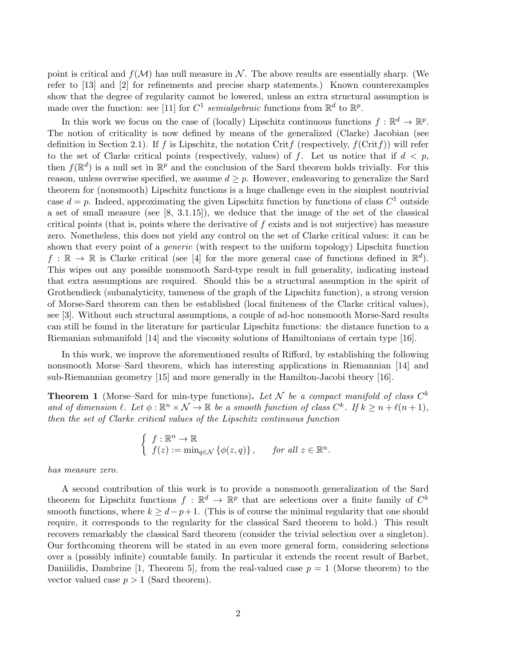point is critical and  $f(\mathcal{M})$  has null measure in  $\mathcal{N}$ . The above results are essentially sharp. (We refer to [13] and [2] for refinements and precise sharp statements.) Known counterexamples show that the degree of regularity cannot be lowered, unless an extra structural assumption is made over the function: see [11] for  $C^1$  semialgebraic functions from  $\mathbb{R}^d$  to  $\mathbb{R}^p$ .

In this work we focus on the case of (locally) Lipschitz continuous functions  $f : \mathbb{R}^d \to \mathbb{R}^p$ . The notion of criticality is now defined by means of the generalized (Clarke) Jacobian (see definition in Section 2.1). If f is Lipschitz, the notation Critf (respectively,  $f(\text{Crit } f)$ ) will refer to the set of Clarke critical points (respectively, values) of f. Let us notice that if  $d < p$ , then  $f(\mathbb{R}^d)$  is a null set in  $\mathbb{R}^p$  and the conclusion of the Sard theorem holds trivially. For this reason, unless overwise specified, we assume  $d \geq p$ . However, endeavoring to generalize the Sard theorem for (nonsmooth) Lipschitz functions is a huge challenge even in the simplest nontrivial case  $d = p$ . Indeed, approximating the given Lipschitz function by functions of class  $C<sup>1</sup>$  outside a set of small measure (see  $[8, 3.1.15]$ ), we deduce that the image of the set of the classical critical points (that is, points where the derivative of f exists and is not surjective) has measure zero. Nonetheless, this does not yield any control on the set of Clarke critical values: it can be shown that every point of a *generic* (with respect to the uniform topology) Lipschitz function  $f : \mathbb{R} \to \mathbb{R}$  is Clarke critical (see [4] for the more general case of functions defined in  $\mathbb{R}^d$ ). This wipes out any possible nonsmooth Sard-type result in full generality, indicating instead that extra assumptions are required. Should this be a structural assumption in the spirit of Grothendieck (subanalyticity, tameness of the graph of the Lipschitz function), a strong version of Morse-Sard theorem can then be established (local finiteness of the Clarke critical values), see [3]. Without such structural assumptions, a couple of ad-hoc nonsmooth Morse-Sard results can still be found in the literature for particular Lipschitz functions: the distance function to a Riemanian submanifold [14] and the viscosity solutions of Hamiltonians of certain type [16].

In this work, we improve the aforementioned results of Rifford, by establishing the following nonsmooth Morse–Sard theorem, which has interesting applications in Riemannian [14] and sub-Riemannian geometry [15] and more generally in the Hamilton-Jacobi theory [16].

**Theorem 1** (Morse–Sard for min-type functions). Let N be a compact manifold of class  $C<sup>k</sup>$ and of dimension  $\ell$ . Let  $\phi : \mathbb{R}^n \times \mathcal{N} \to \mathbb{R}$  be a smooth function of class  $C^k$ . If  $k \geq n + \ell(n+1)$ , then the set of Clarke critical values of the Lipschitz continuous function

$$
\begin{cases} f: \mathbb{R}^n \to \mathbb{R} \\ f(z) := \min_{q \in \mathcal{N}} \{ \phi(z, q) \}, \quad \text{for all } z \in \mathbb{R}^n. \end{cases}
$$

has measure zero.

A second contribution of this work is to provide a nonsmooth generalization of the Sard theorem for Lipschitz functions  $f : \mathbb{R}^d \to \mathbb{R}^p$  that are selections over a finite family of  $C^k$ smooth functions, where  $k \geq d-p+1$ . (This is of course the minimal regularity that one should require, it corresponds to the regularity for the classical Sard theorem to hold.) This result recovers remarkably the classical Sard theorem (consider the trivial selection over a singleton). Our forthcoming theorem will be stated in an even more general form, considering selections over a (possibly infinite) countable family. In particular it extends the recent result of Barbet, Daniilidis, Dambrine [1, Theorem 5], from the real-valued case  $p = 1$  (Morse theorem) to the vector valued case  $p > 1$  (Sard theorem).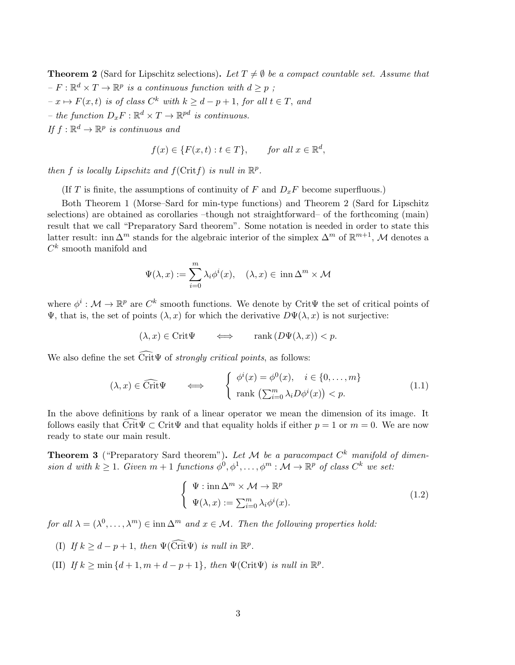**Theorem 2** (Sard for Lipschitz selections). Let  $T \neq \emptyset$  be a compact countable set. Assume that  $-F: \mathbb{R}^d \times T \to \mathbb{R}^p$  is a continuous function with  $d \geq p$ ;  $-x \mapsto F(x, t)$  is of class  $C^k$  with  $k \geq d-p+1$ , for all  $t \in T$ , and – the function  $D_x F : \mathbb{R}^d \times T \to \mathbb{R}^{pd}$  is continuous. If  $f: \mathbb{R}^d \to \mathbb{R}^p$  is continuous and

$$
f(x) \in \{F(x,t) : t \in T\}, \quad \text{for all } x \in \mathbb{R}^d,
$$

then f is locally Lipschitz and  $f(\text{Crit} f)$  is null in  $\mathbb{R}^p$ .

(If T is finite, the assumptions of continuity of F and  $D_xF$  become superfluous.)

Both Theorem 1 (Morse–Sard for min-type functions) and Theorem 2 (Sard for Lipschitz selections) are obtained as corollaries –though not straightforward– of the forthcoming (main) result that we call "Preparatory Sard theorem". Some notation is needed in order to state this latter result: inn  $\Delta^m$  stands for the algebraic interior of the simplex  $\Delta^m$  of  $\mathbb{R}^{m+1}$ , M denotes a  $C^k$  smooth manifold and

$$
\Psi(\lambda, x) := \sum_{i=0}^{m} \lambda_i \phi^i(x), \quad (\lambda, x) \in \operatorname{inn} \Delta^m \times \mathcal{M}
$$

where  $\phi^i: \mathcal{M} \to \mathbb{R}^p$  are  $C^k$  smooth functions. We denote by Crit $\Psi$  the set of critical points of Ψ, that is, the set of points  $(λ, x)$  for which the derivative  $D\Psi(λ, x)$  is not surjective:

$$
(\lambda, x) \in \text{Crit}\Psi \qquad \Longleftrightarrow \qquad \text{rank}\left(D\Psi(\lambda, x)\right) < p.
$$

We also define the set  $\widetilde{\mathrm{Crit}}\Psi$  of *strongly critical points*, as follows:

$$
(\lambda, x) \in \widehat{\text{Crit}} \Psi \qquad \Longleftrightarrow \qquad \begin{cases} \phi^i(x) = \phi^0(x), & i \in \{0, \dots, m\} \\ \text{rank } \left(\sum_{i=0}^m \lambda_i D\phi^i(x)\right) < p. \end{cases} \tag{1.1}
$$

In the above definitions by rank of a linear operator we mean the dimension of its image. It follows easily that Crit $\Psi \subset \text{Crit}\Psi$  and that equality holds if either  $p = 1$  or  $m = 0$ . We are now ready to state our main result.

**Theorem 3** ("Preparatory Sard theorem"). Let M be a paracompact  $C^k$  manifold of dimension d with  $k \geq 1$ . Given  $m+1$  functions  $\phi^0, \phi^1, \ldots, \phi^m : \mathcal{M} \to \mathbb{R}^p$  of class  $C^k$  we set:

$$
\begin{cases} \Psi : \operatorname{inn} \Delta^m \times \mathcal{M} \to \mathbb{R}^p \\ \Psi(\lambda, x) := \sum_{i=0}^m \lambda_i \phi^i(x). \end{cases}
$$
 (1.2)

for all  $\lambda = (\lambda^0, \dots, \lambda^m) \in \text{inn } \Delta^m$  and  $x \in \mathcal{M}$ . Then the following properties hold:

- (I) If  $k \geq d p + 1$ , then  $\Psi(\widehat{\text{Crit}}\Psi)$  is null in  $\mathbb{R}^p$ .
- (II) If  $k \ge \min\{d+1, m+d-p+1\}$ , then  $\Psi(\text{Crit}\Psi)$  is null in  $\mathbb{R}^p$ .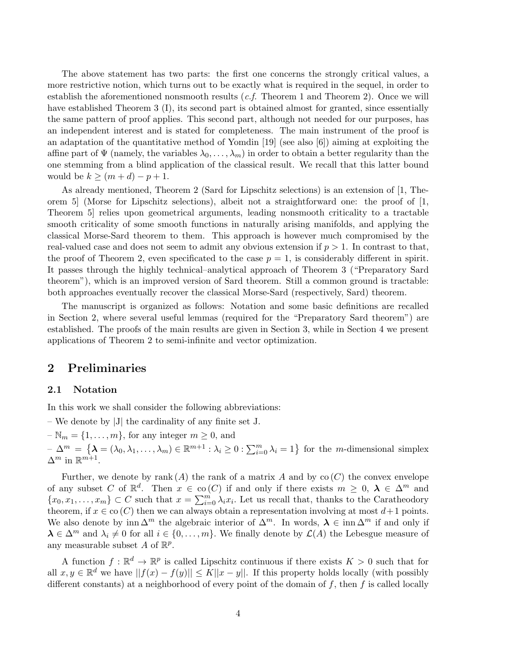The above statement has two parts: the first one concerns the strongly critical values, a more restrictive notion, which turns out to be exactly what is required in the sequel, in order to establish the aforementioned nonsmooth results  $(c.f.$  Theorem 1 and Theorem 2). Once we will have established Theorem 3 (I), its second part is obtained almost for granted, since essentially the same pattern of proof applies. This second part, although not needed for our purposes, has an independent interest and is stated for completeness. The main instrument of the proof is an adaptation of the quantitative method of Yomdin  $[19]$  (see also  $[6]$ ) aiming at exploiting the affine part of  $\Psi$  (namely, the variables  $\lambda_0, \ldots, \lambda_m$ ) in order to obtain a better regularity than the one stemming from a blind application of the classical result. We recall that this latter bound would be  $k \geq (m+d)-p+1$ .

As already mentioned, Theorem 2 (Sard for Lipschitz selections) is an extension of [1, Theorem 5] (Morse for Lipschitz selections), albeit not a straightforward one: the proof of [1, Theorem 5] relies upon geometrical arguments, leading nonsmooth criticality to a tractable smooth criticality of some smooth functions in naturally arising manifolds, and applying the classical Morse-Sard theorem to them. This approach is however much compromised by the real-valued case and does not seem to admit any obvious extension if  $p > 1$ . In contrast to that, the proof of Theorem 2, even specificated to the case  $p = 1$ , is considerably different in spirit. It passes through the highly technical–analytical approach of Theorem 3 ("Preparatory Sard theorem"), which is an improved version of Sard theorem. Still a common ground is tractable: both approaches eventually recover the classical Morse-Sard (respectively, Sard) theorem.

The manuscript is organized as follows: Notation and some basic definitions are recalled in Section 2, where several useful lemmas (required for the "Preparatory Sard theorem") are established. The proofs of the main results are given in Section 3, while in Section 4 we present applications of Theorem 2 to semi-infinite and vector optimization.

## 2 Preliminaries

#### 2.1 Notation

In this work we shall consider the following abbreviations:

– We denote by |J| the cardinality of any finite set J.

 $-\mathbb{N}_m = \{1,\ldots,m\}$ , for any integer  $m \geq 0$ , and

 $-\Delta^m = \{\lambda = (\lambda_0, \lambda_1, \dots, \lambda_m) \in \mathbb{R}^{m+1} : \lambda_i \geq 0 : \sum_{i=0}^m \lambda_i = 1\}$  for the *m*-dimensional simplex  $\Delta^m$  in  $\mathbb{R}^{m+1}$ .

Further, we denote by rank (A) the rank of a matrix A and by  $\text{co}(C)$  the convex envelope of any subset C of  $\mathbb{R}^d$ . Then  $x \in \text{co}(C)$  if and only if there exists  $m \geq 0$ ,  $\lambda \in \Delta^m$  and  $\{x_0, x_1, \ldots, x_m\} \subset C$  such that  $x = \sum_{i=0}^m \lambda_i x_i$ . Let us recall that, thanks to the Caratheodory theorem, if  $x \in \text{co}(C)$  then we can always obtain a representation involving at most  $d+1$  points. We also denote by inn  $\Delta^m$  the algebraic interior of  $\Delta^m$ . In words,  $\lambda \in \text{inn } \Delta^m$  if and only if  $\lambda \in \Delta^m$  and  $\lambda_i \neq 0$  for all  $i \in \{0, \ldots, m\}$ . We finally denote by  $\mathcal{L}(A)$  the Lebesgue measure of any measurable subset A of  $\mathbb{R}^p$ .

A function  $f: \mathbb{R}^d \to \mathbb{R}^p$  is called Lipschitz continuous if there exists  $K > 0$  such that for all  $x, y \in \mathbb{R}^d$  we have  $||f(x) - f(y)|| \le K||x - y||$ . If this property holds locally (with possibly different constants) at a neighborhood of every point of the domain of  $f$ , then  $f$  is called locally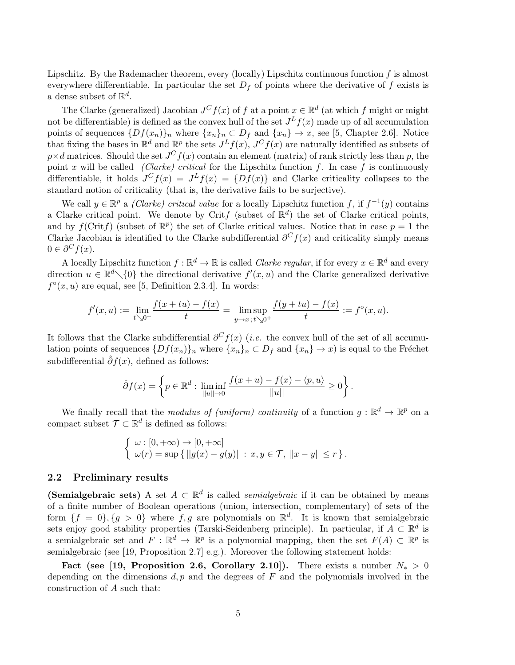Lipschitz. By the Rademacher theorem, every (locally) Lipschitz continuous function  $f$  is almost everywhere differentiable. In particular the set  $D_f$  of points where the derivative of f exists is a dense subset of  $\mathbb{R}^d$ .

The Clarke (generalized) Jacobian  $J^C f(x)$  of f at a point  $x \in \mathbb{R}^d$  (at which f might or might not be differentiable) is defined as the convex hull of the set  $J^L f(x)$  made up of all accumulation points of sequences  $\{Df(x_n)\}_n$  where  $\{x_n\}_n \subset D_f$  and  $\{x_n\} \to x$ , see [5, Chapter 2.6]. Notice that fixing the bases in  $\mathbb{R}^d$  and  $\mathbb{R}^p$  the sets  $J^Lf(x)$ ,  $J^Cf(x)$  are naturally identified as subsets of  $p \times d$  matrices. Should the set  $J^C f(x)$  contain an element (matrix) of rank strictly less than p, the point x will be called (Clarke) critical for the Lipschitz function f. In case f is continuously differentiable, it holds  $J^{C} f(x) = J^{L} f(x) = \{Df(x)\}\$ and Clarke criticality collapses to the standard notion of criticality (that is, the derivative fails to be surjective).

We call  $y \in \mathbb{R}^p$  a *(Clarke) critical value* for a locally Lipschitz function f, if  $f^{-1}(y)$  contains a Clarke critical point. We denote by Critf (subset of  $\mathbb{R}^d$ ) the set of Clarke critical points, and by  $f(\text{Crit} f)$  (subset of  $\mathbb{R}^p$ ) the set of Clarke critical values. Notice that in case  $p = 1$  the Clarke Jacobian is identified to the Clarke subdifferential  $\partial^C f(x)$  and criticality simply means  $0 \in \partial^C f(x)$ .

A locally Lipschitz function  $f : \mathbb{R}^d \to \mathbb{R}$  is called *Clarke regular*, if for every  $x \in \mathbb{R}^d$  and every direction  $u \in \mathbb{R}^d \setminus \{0\}$  the directional derivative  $f'(x, u)$  and the Clarke generalized derivative  $f^{\circ}(x, u)$  are equal, see [5, Definition 2.3.4]. In words:

$$
f'(x,u) := \lim_{t \searrow 0^+} \frac{f(x+tu) - f(x)}{t} = \limsup_{y \to x} \frac{f(y+tu) - f(x)}{t} := f^{\circ}(x,u).
$$

It follows that the Clarke subdifferential  $\partial^C f(x)$  (*i.e.* the convex hull of the set of all accumulation points of sequences  $\{Df(x_n)\}_n$  where  $\{x_n\}_n \subset D_f$  and  $\{x_n\} \to x$ ) is equal to the Fréchet subdifferential  $\hat{\partial}f(x)$ , defined as follows:

$$
\hat{\partial} f(x) = \left\{ p \in \mathbb{R}^d : \liminf_{||u|| \to 0} \frac{f(x+u) - f(x) - \langle p, u \rangle}{||u||} \ge 0 \right\}.
$$

We finally recall that the *modulus of (uniform)* continuity of a function  $g : \mathbb{R}^d \to \mathbb{R}^p$  on a compact subset  $\mathcal{T} \subset \mathbb{R}^d$  is defined as follows:

$$
\begin{cases} \omega : [0, +\infty) \to [0, +\infty] \\ \omega(r) = \sup \{ ||g(x) - g(y)|| : x, y \in \mathcal{T}, ||x - y|| \leq r \} .\end{cases}
$$

#### 2.2 Preliminary results

(Semialgebraic sets) A set  $A \subset \mathbb{R}^d$  is called *semialgebraic* if it can be obtained by means of a finite number of Boolean operations (union, intersection, complementary) of sets of the form  $\{f = 0\}, \{g > 0\}$  where  $f, g$  are polynomials on  $\mathbb{R}^d$ . It is known that semialgebraic sets enjoy good stability properties (Tarski-Seidenberg principle). In particular, if  $A \subset \mathbb{R}^d$  is a semialgebraic set and  $F : \mathbb{R}^d \to \mathbb{R}^p$  is a polynomial mapping, then the set  $F(A) \subset \mathbb{R}^p$  is semialgebraic (see [19, Proposition 2.7] e.g.). Moreover the following statement holds:

Fact (see [19, Proposition 2.6, Corollary 2.10]). There exists a number  $N_* > 0$ depending on the dimensions  $d, p$  and the degrees of  $F$  and the polynomials involved in the construction of A such that: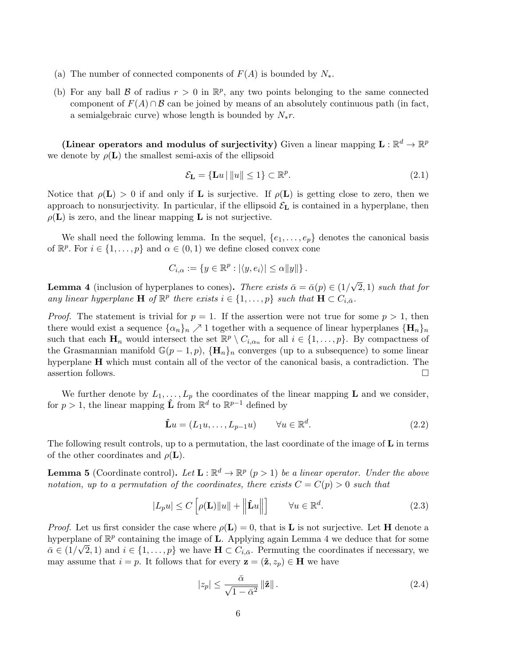- (a) The number of connected components of  $F(A)$  is bounded by  $N_*$ .
- (b) For any ball  $\beta$  of radius  $r > 0$  in  $\mathbb{R}^p$ , any two points belonging to the same connected component of  $F(A) \cap B$  can be joined by means of an absolutely continuous path (in fact, a semialgebraic curve) whose length is bounded by  $N_*r$ .

(Linear operators and modulus of surjectivity) Given a linear mapping  $\mathbf{L} : \mathbb{R}^d \to \mathbb{R}^p$ we denote by  $\rho(\mathbf{L})$  the smallest semi-axis of the ellipsoid

$$
\mathcal{E}_{\mathbf{L}} = \{\mathbf{L}u \mid ||u|| \le 1\} \subset \mathbb{R}^p. \tag{2.1}
$$

Notice that  $\rho(\mathbf{L}) > 0$  if and only if **L** is surjective. If  $\rho(\mathbf{L})$  is getting close to zero, then we approach to nonsurjectivity. In particular, if the ellipsoid  $\mathcal{E}_L$  is contained in a hyperplane, then  $\rho(\mathbf{L})$  is zero, and the linear mapping **L** is not surjective.

We shall need the following lemma. In the sequel,  $\{e_1, \ldots, e_p\}$  denotes the canonical basis of  $\mathbb{R}^p$ . For  $i \in \{1, \ldots, p\}$  and  $\alpha \in (0, 1)$  we define closed convex cone

$$
C_{i,\alpha} := \{ y \in \mathbb{R}^p : |\langle y, e_i \rangle| \leq \alpha ||y|| \}.
$$

**Lemma 4** (inclusion of hyperplanes to cones). There exists  $\bar{\alpha} = \bar{\alpha}(p) \in (1/2)$ √ 2, 1) such that for any linear hyperplane  $\mathbf{H}$  of  $\mathbb{R}^p$  there exists  $i \in \{1, \ldots, p\}$  such that  $\mathbf{H} \subset C_{i,\bar{\alpha}}$ .

*Proof.* The statement is trivial for  $p = 1$ . If the assertion were not true for some  $p > 1$ , then there would exist a sequence  $\{\alpha_n\}_n \nearrow 1$  together with a sequence of linear hyperplanes  $\{\mathbf{H}_n\}_n$ such that each  $H_n$  would intersect the set  $\mathbb{R}^p \setminus C_{i,\alpha_n}$  for all  $i \in \{1,\ldots,p\}$ . By compactness of the Grasmannian manifold  $\mathbb{G}(p-1,p)$ ,  $\{\mathbf{H}_n\}_n$  converges (up to a subsequence) to some linear hyperplane H which must contain all of the vector of the canonical basis, a contradiction. The assertion follows.  $\Box$ 

We further denote by  $L_1, \ldots, L_p$  the coordinates of the linear mapping **L** and we consider, for  $p > 1$ , the linear mapping  $\hat{\mathbf{L}}$  from  $\mathbb{R}^d$  to  $\mathbb{R}^{p-1}$  defined by

$$
\hat{\mathbf{L}}u = (L_1 u, \dots, L_{p-1} u) \qquad \forall u \in \mathbb{R}^d. \tag{2.2}
$$

The following result controls, up to a permutation, the last coordinate of the image of  $\bf{L}$  in terms of the other coordinates and  $\rho(L)$ .

**Lemma 5** (Coordinate control). Let  $\mathbf{L} : \mathbb{R}^d \to \mathbb{R}^p$   $(p > 1)$  be a linear operator. Under the above notation, up to a permutation of the coordinates, there exists  $C = C(p) > 0$  such that

$$
|L_p u| \le C \left[ \rho(\mathbf{L}) ||u|| + \left\| \mathbf{\hat{L}} u \right\| \right] \qquad \forall u \in \mathbb{R}^d.
$$
 (2.3)

*Proof.* Let us first consider the case where  $\rho(\mathbf{L}) = 0$ , that is **L** is not surjective. Let **H** denote a hyperplane of  $\mathbb{R}^p$  containing the image of **L**. Applying again Lemma 4 we deduce that for some  $\bar{\alpha}\in(1/\sqrt{2},1)$  and  $i\in\{1,\ldots,p\}$  we have  $\mathbf{H}\subset C_{i,\bar{\alpha}}$ . Permuting the coordinates if necessary, we may assume that  $i = p$ . It follows that for every  $\mathbf{z} = (\hat{\mathbf{z}}, z_p) \in \mathbf{H}$  we have

$$
|z_p| \le \frac{\bar{\alpha}}{\sqrt{1 - \bar{\alpha}^2}} \|\hat{\mathbf{z}}\|.
$$
\n(2.4)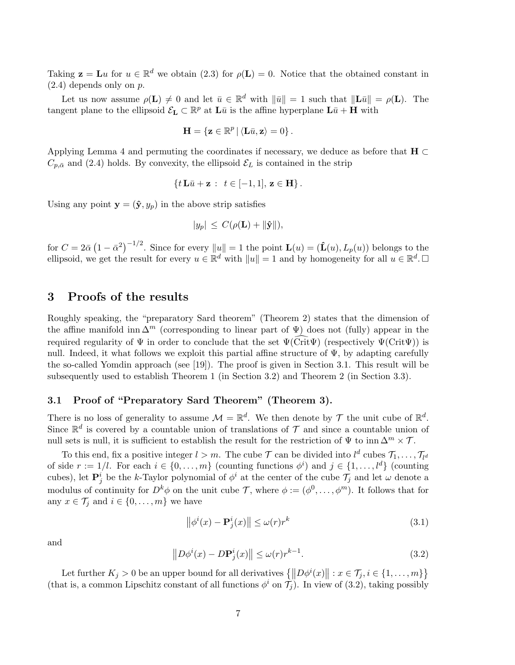Taking  $\mathbf{z} = \mathbf{L}u$  for  $u \in \mathbb{R}^d$  we obtain (2.3) for  $\rho(\mathbf{L}) = 0$ . Notice that the obtained constant in  $(2.4)$  depends only on  $p$ .

Let us now assume  $\rho(\mathbf{L}) \neq 0$  and let  $\bar{u} \in \mathbb{R}^d$  with  $\|\bar{u}\| = 1$  such that  $\|\mathbf{L}\bar{u}\| = \rho(\mathbf{L})$ . The tangent plane to the ellipsoid  $\mathcal{E}_{\mathbf{L}} \subset \mathbb{R}^p$  at  $\mathbf{L}\bar{u}$  is the affine hyperplane  $\mathbf{L}\bar{u} + \mathbf{H}$  with

$$
\mathbf{H} = \{ \mathbf{z} \in \mathbb{R}^p \, | \, \langle \mathbf{L}\bar{u}, \mathbf{z} \rangle = 0 \} \, .
$$

Applying Lemma 4 and permuting the coordinates if necessary, we deduce as before that  $H \subset$  $C_{p,\bar{\alpha}}$  and (2.4) holds. By convexity, the ellipsoid  $\mathcal{E}_L$  is contained in the strip

$$
\{t\,{\bf L}\bar{u} + {\bf z} : t \in [-1,1], {\bf z} \in {\bf H}\}.
$$

Using any point  $\mathbf{y} = (\hat{\mathbf{y}}, y_p)$  in the above strip satisfies

$$
|y_p| \leq C(\rho(\mathbf{L}) + ||\mathbf{\hat{y}}||),
$$

for  $C = 2\bar{\alpha} (1 - \bar{\alpha}^2)^{-1/2}$ . Since for every  $||u|| = 1$  the point  $\mathbf{L}(u) = (\mathbf{\hat{L}}(u), L_p(u))$  belongs to the ellipsoid, we get the result for every  $u \in \mathbb{R}^d$  with  $||u|| = 1$  and by homogeneity for all  $u \in \mathbb{R}^d$ .

#### 3 Proofs of the results

Roughly speaking, the "preparatory Sard theorem" (Theorem 2) states that the dimension of the affine manifold inn  $\Delta^m$  (corresponding to linear part of  $\Psi$ ) does not (fully) appear in the required regularity of  $\Psi$  in order to conclude that the set  $\Psi(\widehat{\text{Crit}}\Psi)$  (respectively  $\Psi(\text{Crit}\Psi)$ ) is null. Indeed, it what follows we exploit this partial affine structure of  $\Psi$ , by adapting carefully the so-called Yomdin approach (see [19]). The proof is given in Section 3.1. This result will be subsequently used to establish Theorem 1 (in Section 3.2) and Theorem 2 (in Section 3.3).

#### 3.1 Proof of "Preparatory Sard Theorem" (Theorem 3).

There is no loss of generality to assume  $\mathcal{M} = \mathbb{R}^d$ . We then denote by  $\mathcal{T}$  the unit cube of  $\mathbb{R}^d$ . Since  $\mathbb{R}^d$  is covered by a countable union of translations of  $\mathcal T$  and since a countable union of null sets is null, it is sufficient to establish the result for the restriction of  $\Psi$  to inn  $\Delta^m \times \mathcal{T}$ .

To this end, fix a positive integer  $l > m$ . The cube  $\mathcal T$  can be divided into  $l^d$  cubes  $\mathcal T_1, \ldots, \mathcal T_{l^d}$ of side  $r := 1/l$ . For each  $i \in \{0, ..., m\}$  (counting functions  $\phi^i$ ) and  $j \in \{1, ..., l^d\}$  (counting cubes), let  $\mathbf{P}_j^i$  be the k-Taylor polynomial of  $\phi^i$  at the center of the cube  $\mathcal{T}_j$  and let  $\omega$  denote a modulus of continuity for  $D^k\phi$  on the unit cube T, where  $\phi := (\phi^0, \dots, \phi^m)$ . It follows that for any  $x \in \mathcal{T}_i$  and  $i \in \{0, \ldots, m\}$  we have

$$
\left\|\phi^{i}(x) - \mathbf{P}_{j}^{i}(x)\right\| \le \omega(r)r^{k} \tag{3.1}
$$

and

$$
||D\phi^{i}(x) - D\mathbf{P}^{i}_{j}(x)|| \le \omega(r)r^{k-1}.
$$
\n(3.2)

Let further  $K_j > 0$  be an upper bound for all derivatives  $\{\|D\phi^i(x)\| : x \in \mathcal{T}_j, i \in \{1, \ldots, m\}\}\$ (that is, a common Lipschitz constant of all functions  $\phi^i$  on  $\tilde{\mathcal{T}}_j$ ). In view of (3.2), taking possibly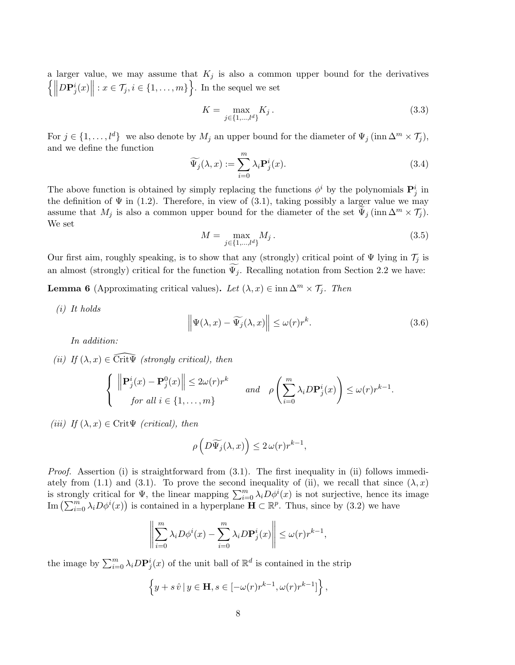a larger value, we may assume that  $K_j$  is also a common upper bound for the derivatives  $\left\{\left\|\right\}$  $D\mathbf{P}_j^i(x)$  :  $x \in \mathcal{T}_j, i \in \{1, \ldots, m\}$ . In the sequel we set

$$
K = \max_{j \in \{1, \dots, l^d\}} K_j \,. \tag{3.3}
$$

For  $j \in \{1, \ldots, l^d\}$  we also denote by  $M_j$  an upper bound for the diameter of  $\Psi_j(\text{inn }\Delta^m \times \mathcal{T}_j)$ , and we define the function

$$
\widetilde{\Psi_j}(\lambda, x) := \sum_{i=0}^m \lambda_i \mathbf{P}_j^i(x). \tag{3.4}
$$

The above function is obtained by simply replacing the functions  $\phi^i$  by the polynomials  $\mathbf{P}_j^i$  in the definition of  $\Psi$  in (1.2). Therefore, in view of (3.1), taking possibly a larger value we may assume that  $M_j$  is also a common upper bound for the diameter of the set  $\widetilde{\Psi}_j$  (inn  $\Delta^m \times \mathcal{T}_j$ ). We set

$$
M = \max_{j \in \{1, \dots, l^d\}} M_j \,. \tag{3.5}
$$

Our first aim, roughly speaking, is to show that any (strongly) critical point of  $\Psi$  lying in  $\mathcal{T}_j$  is an almost (strongly) critical for the function  $\Psi_j$ . Recalling notation from Section 2.2 we have:

**Lemma 6** (Approximating critical values). Let  $(\lambda, x) \in \text{inn } \Delta^m \times \mathcal{T}_i$ . Then

(i) It holds

$$
\left\| \Psi(\lambda, x) - \widetilde{\Psi_j}(\lambda, x) \right\| \le \omega(r) r^k. \tag{3.6}
$$

In addition:

(ii) If  $(\lambda, x) \in \text{Crit}\overline{\Psi}$  (strongly critical), then

$$
\begin{cases} \left\| \mathbf{P}_j^i(x) - \mathbf{P}_j^0(x) \right\| \le 2\omega(r)r^k \quad \text{and} \quad \rho\left(\sum_{i=0}^m \lambda_i D\mathbf{P}_j^i(x)\right) \le \omega(r)r^{k-1}.\end{cases}
$$

(iii) If  $(\lambda, x) \in \text{Crit}\Psi$  (critical), then

$$
\rho\left(D\widetilde{\Psi_j}(\lambda,x)\right)\leq 2\,\omega(r)r^{k-1},
$$

*Proof.* Assertion (i) is straightforward from  $(3.1)$ . The first inequality in (ii) follows immediately from (1.1) and (3.1). To prove the second inequality of (ii), we recall that since  $(\lambda, x)$ is strongly critical for  $\Psi$ , the linear mapping  $\sum_{i=0}^{m} \lambda_i D\phi^i(x)$  is not surjective, hence its image Im  $\left(\sum_{i=0}^m \lambda_i D\phi^i(x)\right)$  is contained in a hyperplane  $\mathbf{H} \subset \mathbb{R}^p$ . Thus, since by  $(3.2)$  we have

$$
\left\| \sum_{i=0}^{m} \lambda_i D\phi^i(x) - \sum_{i=0}^{m} \lambda_i D \mathbf{P}_j^i(x) \right\| \le \omega(r) r^{k-1},
$$

the image by  $\sum_{i=0}^{m} \lambda_i D\mathbf{P}_j^i(x)$  of the unit ball of  $\mathbb{R}^d$  is contained in the strip

$$
\left\{y+s\,\hat{v}\,|\,y\in\mathbf{H},s\in[-\omega(r)r^{k-1},\omega(r)r^{k-1}]\right\},\,
$$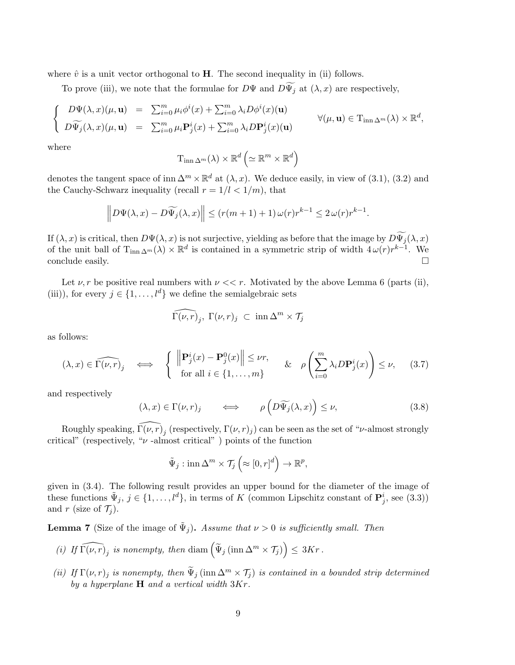where  $\hat{v}$  is a unit vector orthogonal to **H**. The second inequality in (ii) follows.

To prove (iii), we note that the formulae for  $D\Psi$  and  $D\widetilde{\Psi}_j$  at  $(\lambda, x)$  are respectively,

$$
\begin{cases}\nD\Psi(\lambda, x)(\mu, \mathbf{u}) = \sum_{i=0}^{m} \mu_i \phi^i(x) + \sum_{i=0}^{m} \lambda_i D\phi^i(x) (\mathbf{u}) \\
D\widetilde{\Psi}_j(\lambda, x)(\mu, \mathbf{u}) = \sum_{i=0}^{m} \mu_i \mathbf{P}_j^i(x) + \sum_{i=0}^{m} \lambda_i D\mathbf{P}_j^i(x) (\mathbf{u})\n\end{cases} \forall (\mu, \mathbf{u}) \in \mathrm{T}_{\mathrm{inn}\,\Delta^m}(\lambda) \times \mathbb{R}^d,
$$

where

$$
\mathrm{T}_{\mathrm{inn}\,\Delta^m}(\lambda)\times\mathbb{R}^d\left(\simeq\mathbb{R}^m\times\mathbb{R}^d\right)
$$

denotes the tangent space of inn  $\Delta^m \times \mathbb{R}^d$  at  $(\lambda, x)$ . We deduce easily, in view of (3.1), (3.2) and the Cauchy-Schwarz inequality (recall  $r = 1/l < 1/m$ ), that

$$
\left\| D\Psi(\lambda, x) - D\widetilde{\Psi_j}(\lambda, x) \right\| \le (r(m+1) + 1) \,\omega(r) r^{k-1} \le 2 \,\omega(r) r^{k-1}.
$$

If  $(\lambda, x)$  is critical, then  $D\Psi(\lambda, x)$  is not surjective, yielding as before that the image by  $D\widetilde{\Psi}_j(\lambda, x)$ of the unit ball of  $T_{\text{inn }\Delta^m}(\lambda) \times \mathbb{R}^d$  is contained in a symmetric strip of width  $4\omega(r)r^{k-1}$ . We conclude easily.

Let  $\nu, r$  be positive real numbers with  $\nu \ll r$ . Motivated by the above Lemma 6 (parts (ii), (iii)), for every  $j \in \{1, ..., l^d\}$  we define the semialgebraic sets

$$
\widehat{\Gamma(\nu,r)}_j, \ \Gamma(\nu,r)_j \ \subset \ \lim \Delta^m \times \mathcal{T}_j
$$

as follows:

$$
(\lambda, x) \in \widehat{\Gamma(\nu, r)}_j \iff \begin{cases} \|\mathbf{P}_j^i(x) - \mathbf{P}_j^0(x)\| \le \nu r, \\ \text{for all } i \in \{1, \dots, m\} \end{cases} \quad \& \quad \rho \left(\sum_{i=0}^m \lambda_i D \mathbf{P}_j^i(x)\right) \le \nu, \tag{3.7}
$$

and respectively

$$
(\lambda, x) \in \Gamma(\nu, r)_j \qquad \Longleftrightarrow \qquad \rho\left(D\widetilde{\Psi}_j(\lambda, x)\right) \le \nu, \tag{3.8}
$$

Roughly speaking,  $\widehat{\Gamma(\nu, r)}_j$  (respectively,  $\Gamma(\nu, r)_j$ ) can be seen as the set of " $\nu$ -almost strongly critical" (respectively, " $\nu$ -almost critical") points of the function

$$
\tilde{\Psi}_j: \operatorname{inn} \Delta^m \times \mathcal{T}_j\left(\approx [0, r]^d\right) \to \mathbb{R}^p,
$$

given in (3.4). The following result provides an upper bound for the diameter of the image of these functions  $\tilde{\Psi}_j$ ,  $j \in \{1, ..., l^d\}$ , in terms of K (common Lipschitz constant of  $\mathbf{P}_j^i$ , see (3.3)) and r (size of  $\mathcal{T}_i$ ).

**Lemma 7** (Size of the image of  $\tilde{\Psi}_j$ ). Assume that  $\nu > 0$  is sufficiently small. Then

- (i) If  $\widehat{\Gamma(\nu, r)}_j$  is nonempty, then  $\dim \left( \widetilde{\Psi}_j \left( \operatorname{inn} \Delta^m \times \mathcal{T}_j \right) \right) \leq 3Kr$ .
- (ii) If  $\Gamma(\nu, r)_j$  is nonempty, then  $\tilde{\Psi}_j$  (inn  $\Delta^m \times \mathcal{T}_j$ ) is contained in a bounded strip determined by a hyperplane  $H$  and a vertical width  $3Kr$ .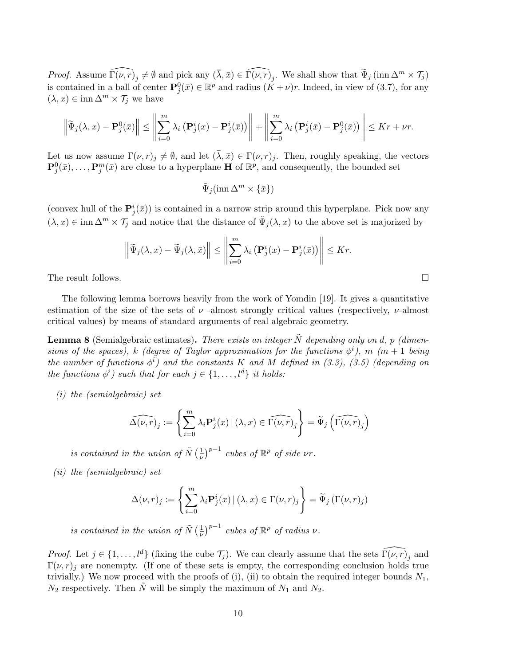*Proof.* Assume  $\widehat{\Gamma(\nu, r)}_j \neq \emptyset$  and pick any  $(\bar{\lambda}, \bar{x}) \in \widehat{\Gamma(\nu, r)}_j$ . We shall show that  $\widetilde{\Psi}_j(\text{inn } \Delta^m \times \mathcal{T}_j)$ is contained in a ball of center  $\mathbf{P}_j^0(\bar{x}) \in \mathbb{R}^p$  and radius  $(\check{K} + \nu)r$ . Indeed, in view of (3.7), for any  $(\lambda, x) \in \text{inn } \Delta^m \times \mathcal{T}_j$  we have

$$
\left\|\widetilde{\Psi}_{j}(\lambda,x)-\mathbf{P}_{j}^{0}(\bar{x})\right\| \leq \left\|\sum_{i=0}^{m} \lambda_{i} \left(\mathbf{P}_{j}^{i}(x)-\mathbf{P}_{j}^{i}(\bar{x})\right)\right\|+\left\|\sum_{i=0}^{m} \lambda_{i} \left(\mathbf{P}_{j}^{i}(\bar{x})-\mathbf{P}_{j}^{0}(\bar{x})\right)\right\| \leq Kr+\nu r.
$$

Let us now assume  $\Gamma(\nu, r)_j \neq \emptyset$ , and let  $(\overline{\lambda}, \overline{x}) \in \Gamma(\nu, r)_j$ . Then, roughly speaking, the vectors  $\mathbf{P}_j^0(\bar{x}),\ldots,\mathbf{P}_j^m(\bar{x})$  are close to a hyperplane **H** of  $\mathbb{R}^p$ , and consequently, the bounded set

$$
\tilde{\Psi}_j(\text{inn }\Delta^m \times \{\bar{x}\})
$$

(convex hull of the  $\mathbf{P}_j^i(\bar{x})$ ) is contained in a narrow strip around this hyperplane. Pick now any  $(\lambda, x) \in \text{inn } \Delta^m \times \mathcal{T}_j$  and notice that the distance of  $\tilde{\Psi}_j(\lambda, x)$  to the above set is majorized by

$$
\left\|\widetilde{\Psi}_{j}(\lambda,x)-\widetilde{\Psi}_{j}(\lambda,\bar{x})\right\| \leq \left\|\sum_{i=0}^{m} \lambda_{i} \left(\mathbf{P}_{j}^{i}(x)-\mathbf{P}_{j}^{i}(\bar{x})\right)\right\| \leq Kr.
$$

The result follows.  $\Box$ 

The following lemma borrows heavily from the work of Yomdin [19]. It gives a quantitative estimation of the size of the sets of  $\nu$ -almost strongly critical values (respectively,  $\nu$ -almost critical values) by means of standard arguments of real algebraic geometry.

**Lemma 8** (Semialgebraic estimates). There exists an integer  $\tilde{N}$  depending only on d, p (dimensions of the spaces), k (degree of Taylor approximation for the functions  $\phi^i$ ), m (m + 1 being the number of functions  $\phi^i$ ) and the constants K and M defined in (3.3), (3.5) (depending on the functions  $\phi^i$ ) such that for each  $j \in \{1, \ldots, l^d\}$  it holds:

(i) the (semialgebraic) set

$$
\widehat{\Delta(\nu,r)}_j := \left\{ \sum_{i=0}^m \lambda_i \mathbf{P}_j^i(x) \, | \, (\lambda, x) \in \widehat{\Gamma(\nu,r)}_j \right\} = \widetilde{\Psi}_j \left( \widehat{\Gamma(\nu,r)}_j \right)
$$

is contained in the union of  $\tilde{N}(\frac{1}{\nu})$  $\left(\frac{1}{\nu}\right)^{p-1}$  cubes of  $\mathbb{R}^p$  of side  $\nu r$ .

(ii) the (semialgebraic) set

$$
\Delta(\nu, r)_j := \left\{ \sum_{i=0}^m \lambda_i \mathbf{P}_j^i(x) \, | \, (\lambda, x) \in \Gamma(\nu, r)_j \right\} = \widetilde{\Psi}_j \left( \Gamma(\nu, r)_j \right)
$$

is contained in the union of  $\tilde{N}(\frac{1}{\nu})$  $\left(\frac{1}{\nu}\right)^{p-1}$  cubes of  $\mathbb{R}^p$  of radius  $\nu$ .

*Proof.* Let  $j \in \{1, ..., l^d\}$  (fixing the cube  $\mathcal{T}_j$ ). We can clearly assume that the sets  $\widehat{\Gamma(\nu, r)}_j$  and  $\Gamma(\nu, r)_i$  are nonempty. (If one of these sets is empty, the corresponding conclusion holds true trivially.) We now proceed with the proofs of (i), (ii) to obtain the required integer bounds  $N_1$ ,  $N_2$  respectively. Then  $\tilde{N}$  will be simply the maximum of  $N_1$  and  $N_2$ .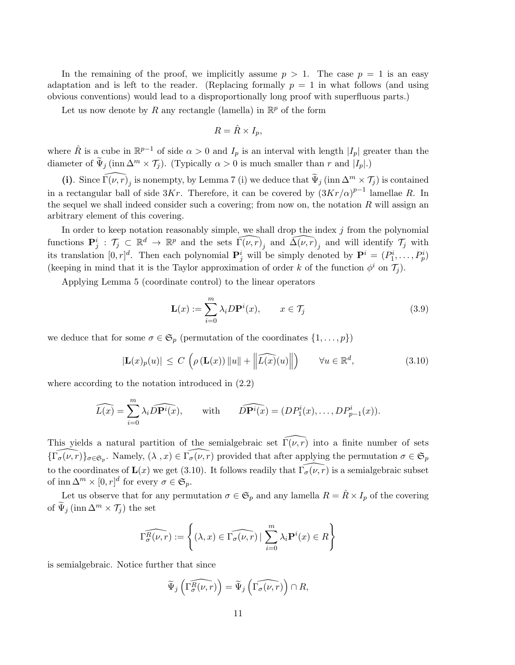In the remaining of the proof, we implicitly assume  $p > 1$ . The case  $p = 1$  is an easy adaptation and is left to the reader. (Replacing formally  $p = 1$  in what follows (and using obvious conventions) would lead to a disproportionally long proof with superfluous parts.)

Let us now denote by R any rectangle (lamella) in  $\mathbb{R}^p$  of the form

$$
R = \hat{R} \times I_p,
$$

where  $\hat{R}$  is a cube in  $\mathbb{R}^{p-1}$  of side  $\alpha > 0$  and  $I_p$  is an interval with length  $|I_p|$  greater than the diameter of  $\widetilde{\Psi}_j$  (inn  $\Delta^m \times \mathcal{T}_j$ ). (Typically  $\alpha > 0$  is much smaller than r and  $|I_p|$ .)

(i). Since  $\widehat{\Gamma(\nu, r)}_j$  is nonempty, by Lemma 7 (i) we deduce that  $\widetilde{\Psi}_j$  (inn  $\Delta^m \times \mathcal{T}_j$ ) is contained in a rectangular ball of side 3Kr. Therefore, it can be covered by  $(3Kr/\alpha)^{p-1}$  lamellae R. In the sequel we shall indeed consider such a covering; from now on, the notation  $R$  will assign an arbitrary element of this covering.

In order to keep notation reasonably simple, we shall drop the index  $j$  from the polynomial functions  $\mathbf{P}_j^i$ :  $\mathcal{T}_j \subset \mathbb{R}^d \to \mathbb{R}^p$  and the sets  $\widehat{\Gamma(\nu, r)}_j$  and  $\widehat{\Delta(\nu, r)}_j$  and will identify  $\mathcal{T}_j$  with its translation  $[0, r]^d$ . Then each polynomial  $\mathbf{P}_j^i$  will be simply denoted by  $\mathbf{P}^i = (P_1^i, \ldots, P_p^i)$ (keeping in mind that it is the Taylor approximation of order k of the function  $\phi^i$  on  $\mathcal{T}_j$ ).

Applying Lemma 5 (coordinate control) to the linear operators

$$
\mathbf{L}(x) := \sum_{i=0}^{m} \lambda_i D \mathbf{P}^i(x), \qquad x \in \mathcal{T}_j \tag{3.9}
$$

we deduce that for some  $\sigma \in \mathfrak{S}_p$  (permutation of the coordinates  $\{1,\ldots,p\}$ )

$$
|\mathbf{L}(x)_p(u)| \le C \left( \rho \left( \mathbf{L}(x) \right) \|u\| + \left\| \widehat{L(x)}(u) \right\| \right) \qquad \forall u \in \mathbb{R}^d,
$$
\n(3.10)

where according to the notation introduced in (2.2)

$$
\widehat{L(x)} = \sum_{i=0}^{m} \lambda_i \widehat{DP^i(x)}, \quad \text{with} \quad \widehat{DP^i(x)} = (DP^i_1(x), \dots, DP^i_{p-1}(x)).
$$

This yields a natural partition of the semialgebraic set  $\Gamma(\nu, r)$  into a finite number of sets  $\{\widehat{\Gamma_{\sigma}(\nu,r)}\}_{\sigma\in\mathfrak{S}_p}$ . Namely,  $(\lambda, x) \in \widehat{\Gamma_{\sigma}(\nu,r)}$  provided that after applying the permutation  $\sigma \in \mathfrak{S}_p$ to the coordinates of  $\mathbf{L}(x)$  we get (3.10). It follows readily that  $\widehat{\Gamma_{\sigma}(\nu, r)}$  is a semialgebraic subset of inn  $\Delta^m \times [0, r]^d$  for every  $\sigma \in \mathfrak{S}_p$ .

Let us observe that for any permutation  $\sigma \in \mathfrak{S}_p$  and any lamella  $R = \hat{R} \times I_p$  of the covering of  $\Psi_j$  (inn  $\Delta^m \times \mathcal{T}_j$ ) the set

$$
\widehat{\Gamma_{\sigma}^{R}(\nu,r)} := \left\{ (\lambda, x) \in \widehat{\Gamma_{\sigma}(\nu,r)} \mid \sum_{i=0}^{m} \lambda_i \mathbf{P}^i(x) \in R \right\}
$$

is semialgebraic. Notice further that since

$$
\widetilde{\Psi}_j\left(\widehat{\Gamma_{\sigma}^R(\nu,r)}\right) = \widetilde{\Psi}_j\left(\widehat{\Gamma_{\sigma}(\nu,r)}\right) \cap R,
$$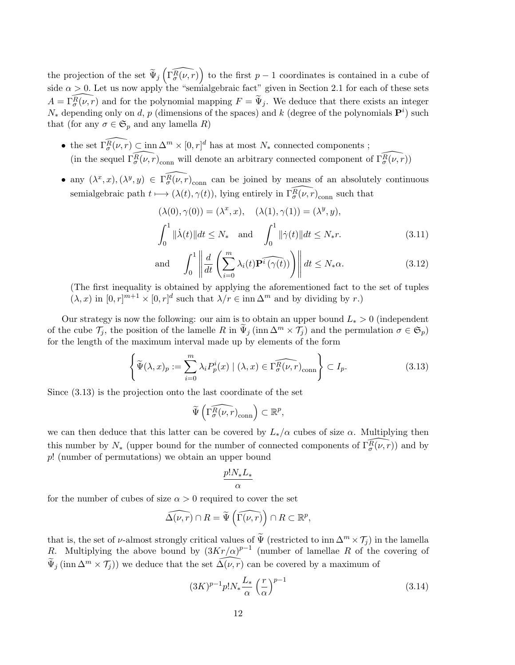the projection of the set  $\widetilde{\Psi}_j\left(\widehat{\Gamma_\sigma^R(\nu,r)}\right)$  to the first  $p-1$  coordinates is contained in a cube of side  $\alpha > 0$ . Let us now apply the "semialgebraic fact" given in Section 2.1 for each of these sets  $A = \Gamma_{\sigma}^{\widehat{R}(\nu, r)}$  and for the polynomial mapping  $F = \widetilde{\Psi}_{j}$ . We deduce that there exists an integer  $N_*$  depending only on d, p (dimensions of the spaces) and k (degree of the polynomials  $\mathbf{P}^i$ ) such that (for any  $\sigma \in \mathfrak{S}_p$  and any lamella R)

- the set  $\widehat{\Gamma_{\sigma}(\nu,r)} \subset \text{inn } \Delta^m \times [0, r]^d$  has at most  $N_*$  connected components; (in the sequel  $\widehat{\Gamma_{\sigma}(\nu,r)}_{\text{conn}}$  will denote an arbitrary connected component of  $\widehat{\Gamma_{\sigma}(\nu,r)}$ )
- any  $(\lambda^x, x), (\lambda^y, y) \in \widehat{\Gamma_{\sigma}(\nu, r)}_{\text{conn}}$  can be joined by means of an absolutely continuous semialgebraic path  $t \mapsto (\lambda(t), \gamma(t)),$  lying entirely in  $\widehat{\Gamma_{\sigma}(\nu, r)}_{\text{conn}}$  such that

$$
(\lambda(0), \gamma(0)) = (\lambda^x, x), \quad (\lambda(1), \gamma(1)) = (\lambda^y, y),
$$
  

$$
\int_0^1 \|\dot{\lambda}(t)\| dt \le N_* \quad \text{and} \quad \int_0^1 \|\dot{\gamma}(t)\| dt \le N_* r.
$$
 (3.11)

and 
$$
\int_0^1 \left\| \frac{d}{dt} \left( \sum_{i=0}^m \lambda_i(t) \widehat{\mathbf{P}^i(\gamma(t))} \right) \right\| dt \le N_* \alpha.
$$
 (3.12)

(The first inequality is obtained by applying the aforementioned fact to the set of tuples  $(\lambda, x)$  in  $[0, r]^{m+1} \times [0, r]^{d}$  such that  $\lambda/r \in \text{inn } \Delta^{m}$  and by dividing by r.)

Our strategy is now the following: our aim is to obtain an upper bound  $L_* > 0$  (independent of the cube  $\mathcal{T}_i$ , the position of the lamelle R in  $\Psi_i$  (inn  $\Delta^m \times \mathcal{T}_i$ ) and the permulation  $\sigma \in \mathfrak{S}_p$ ) for the length of the maximum interval made up by elements of the form

$$
\left\{\widetilde{\Psi}(\lambda,x)_p := \sum_{i=0}^m \lambda_i P_p^i(x) \mid (\lambda,x) \in \widehat{\Gamma_\sigma^R(\nu,r)}_{\text{conn}}\right\} \subset I_p. \tag{3.13}
$$

Since (3.13) is the projection onto the last coordinate of the set

$$
\widetilde{\Psi}\left(\widehat{\Gamma_{\sigma}^{R}(\nu,r)}_{\text{conn}}\right) \subset \mathbb{R}^p,
$$

we can then deduce that this latter can be covered by  $L_*/\alpha$  cubes of size  $\alpha$ . Multiplying then this number by  $N_*$  (upper bound for the number of connected components of  $\widehat{\Gamma_{\sigma}(\nu,r)}$ ) and by p! (number of permutations) we obtain an upper bound

$$
\frac{p!N_*L_*}{\alpha}
$$

for the number of cubes of size  $\alpha > 0$  required to cover the set

$$
\widehat{\Delta(\nu,r)} \cap R = \widetilde{\Psi}\left(\widehat{\Gamma(\nu,r)}\right) \cap R \subset \mathbb{R}^p,
$$

that is, the set of v-almost strongly critical values of  $\widetilde{\Psi}$  (restricted to inn  $\Delta^m \times \mathcal{T}_j$ ) in the lamella R. Multiplying the above bound by  $(3Kr/\alpha)^{p-1}$  (number of lamellae R of the covering of  $\widetilde{\Psi}_j(\text{inn }\Delta^m \times \mathcal{T}_j)$  we deduce that the set  $\widehat{\Delta(\nu, r)}$  can be covered by a maximum of

$$
(3K)^{p-1}p!N_*\frac{L_*}{\alpha}\left(\frac{r}{\alpha}\right)^{p-1}
$$
\n(3.14)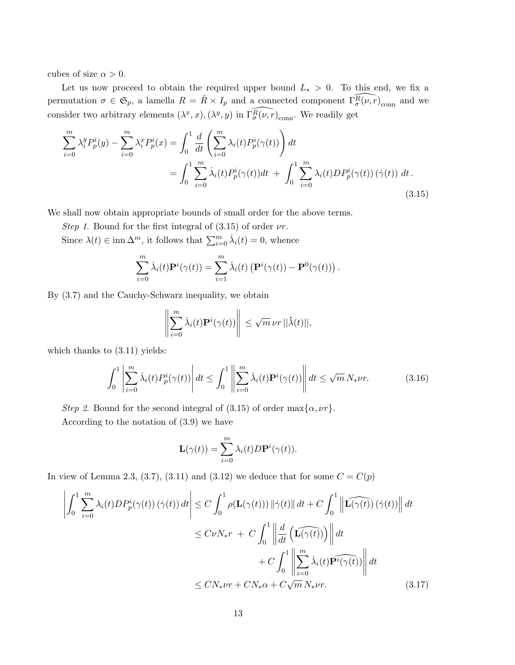cubes of size  $\alpha > 0$ .

Let us now proceed to obtain the required upper bound  $L_* > 0$ . To this end, we fix a permutation  $\sigma \in \mathfrak{S}_p$ , a lamella  $R = \hat{R} \times I_p$  and a connected component  $\widehat{\Gamma_\sigma(\nu, r)}_{\text{conn}}$  and we consider two arbitrary elements  $(\lambda^x, x), (\lambda^y, y)$  in  $\widehat{\Gamma_\sigma(\nu, r)}_{\text{conn}}$ . We readily get

$$
\sum_{i=0}^{m} \lambda_i^y P_p^i(y) - \sum_{i=0}^{m} \lambda_i^x P_p^i(x) = \int_0^1 \frac{d}{dt} \left( \sum_{i=0}^{m} \lambda_i(t) P_p^i(\gamma(t)) \right) dt
$$
  
= 
$$
\int_0^1 \sum_{i=0}^{m} \dot{\lambda}_i(t) P_p^i(\gamma(t)) dt + \int_0^1 \sum_{i=0}^{m} \lambda_i(t) D P_p^i(\gamma(t)) (\dot{\gamma}(t)) dt.
$$
 (3.15)

We shall now obtain appropriate bounds of small order for the above terms.

Step 1. Bound for the first integral of  $(3.15)$  of order  $\nu r$ .

Since  $\lambda(t) \in \text{inn } \Delta^m$ , it follows that  $\sum_{i=0}^m \dot{\lambda}_i(t) = 0$ , whence

$$
\sum_{i=0}^{m} \dot{\lambda}_i(t) \mathbf{P}^i(\gamma(t)) = \sum_{i=1}^{m} \dot{\lambda}_i(t) \left( \mathbf{P}^i(\gamma(t)) - \mathbf{P}^0(\gamma(t)) \right).
$$

By (3.7) and the Cauchy-Schwarz inequality, we obtain

$$
\left\| \sum_{i=0}^m \dot{\lambda}_i(t) \mathbf{P}^i(\gamma(t)) \right\| \leq \sqrt{m} \nu r ||\dot{\lambda}(t)||,
$$

which thanks to  $(3.11)$  yields:

$$
\int_0^1 \left| \sum_{i=0}^m \dot{\lambda}_i(t) P_p^i(\gamma(t)) \right| dt \le \int_0^1 \left| \left| \sum_{i=0}^m \dot{\lambda}_i(t) \mathbf{P}^i(\gamma(t)) \right| \right| dt \le \sqrt{m} N_* \nu r. \tag{3.16}
$$

Step 2. Bound for the second integral of (3.15) of order max $\{\alpha, \nu\}$ .

According to the notation of (3.9) we have

$$
\mathbf{L}(\gamma(t)) = \sum_{i=0}^{m} \lambda_i(t) D \mathbf{P}^i(\gamma(t)).
$$

In view of Lemma 2.3, (3.7), (3.11) and (3.12) we deduce that for some  $C = C(p)$ 

$$
\left| \int_{0}^{1} \sum_{i=0}^{m} \lambda_{i}(t) DP_{p}^{i}(\gamma(t)) \left( \dot{\gamma}(t) \right) dt \right| \leq C \int_{0}^{1} \rho(\mathbf{L}(\gamma(t))) \left\| \dot{\gamma}(t) \right\| dt + C \int_{0}^{1} \left\| \widehat{\mathbf{L}(\gamma(t))} \left( \dot{\gamma}(t) \right) \right\| dt
$$
  

$$
\leq C \nu N_{*} r + C \int_{0}^{1} \left\| \frac{d}{dt} \left( \widehat{\mathbf{L}(\gamma(t))} \right) \right\| dt
$$
  

$$
+ C \int_{0}^{1} \left\| \sum_{i=0}^{m} \dot{\lambda}_{i}(t) \widehat{\mathbf{Pr}(\gamma(t))} \right\| dt
$$
  

$$
\leq C N_{*} \nu r + C N_{*} \alpha + C \sqrt{m} N_{*} \nu r.
$$
 (3.17)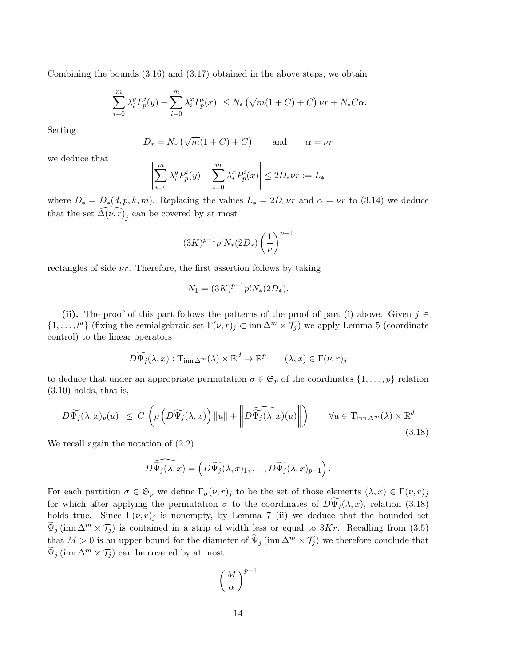Combining the bounds (3.16) and (3.17) obtained in the above steps, we obtain

$$
\left|\sum_{i=0}^m \lambda_i^y P_p^i(y) - \sum_{i=0}^m \lambda_i^x P_p^i(x)\right| \le N_* \left(\sqrt{m}(1+C) + C\right) \nu r + N_* C \alpha.
$$

Setting

$$
D_* = N_* (\sqrt{m}(1+C) + C)
$$
 and  $\alpha = \nu r$ 

we deduce that

$$
\left| \sum_{i=0}^{m} \lambda_i^y P_p^i(y) - \sum_{i=0}^{m} \lambda_i^x P_p^i(x) \right| \le 2D_* \nu r := L_*
$$

where  $D_* = D_*(d, p, k, m)$ . Replacing the values  $L_* = 2D_*\nu r$  and  $\alpha = \nu r$  to (3.14) we deduce that the set  $\widehat{\Delta(\nu, r)}_j$  can be covered by at most

$$
(3K)^{p-1} p! N_*(2D_*) \left(\frac{1}{\nu}\right)^{p-1}
$$

rectangles of side  $\nu r$ . Therefore, the first assertion follows by taking

$$
N_1 = (3K)^{p-1} p! N_*(2D_*)
$$

(ii). The proof of this part follows the patterns of the proof of part (i) above. Given  $j \in$  $\{1,\ldots, l^d\}$  (fixing the semialgebraic set  $\Gamma(\nu, r)_j \subset \text{inn } \Delta^m \times \mathcal{T}_j$ ) we apply Lemma 5 (coordinate control) to the linear operators

$$
D\widetilde{\Psi}_j(\lambda, x) : \mathrm{T}_{\mathrm{inn}\,\Delta^m}(\lambda) \times \mathbb{R}^d \to \mathbb{R}^p \qquad (\lambda, x) \in \Gamma(\nu, r)_j
$$

to deduce that under an appropriate permutation  $\sigma \in \mathfrak{S}_p$  of the coordinates  $\{1, \ldots, p\}$  relation (3.10) holds, that is,

$$
\left| D\widetilde{\Psi_j}(\lambda, x)_p(u) \right| \le C \left( \rho \left( D\widetilde{\Psi_j}(\lambda, x) \right) \|u\| + \left\| D\widetilde{\widetilde{\Psi_j}(\lambda, x)}(u) \right\| \right) \qquad \forall u \in T_{\text{inn } \Delta^m}(\lambda) \times \mathbb{R}^d. \tag{3.18}
$$

We recall again the notation of (2.2)

$$
D\widehat{\widetilde{\Psi_j}(\lambda, x)} = \left(D\widetilde{\Psi_j}(\lambda, x)_1, \ldots, D\widetilde{\Psi_j}(\lambda, x)_{p-1}\right).
$$

For each partition  $\sigma \in \mathfrak{S}_p$  we define  $\Gamma_{\sigma}(\nu, r)_j$  to be the set of those elements  $(\lambda, x) \in \Gamma(\nu, r)_j$ for which after applying the permutation  $\sigma$  to the coordinates of  $D\widetilde{\Psi}_i(\lambda, x)$ , relation (3.18) holds true. Since  $\Gamma(\nu, r)_j$  is nonempty, by Lemma 7 (ii) we deduce that the bounded set  $\Psi_i$  (inn  $\Delta^m \times \mathcal{T}_i$ ) is contained in a strip of width less or equal to 3Kr. Recalling from (3.5) that  $M > 0$  is an upper bound for the diameter of  $\tilde{\Psi}_j(\text{inn }\Delta^m \times \mathcal{T}_j)$  we therefore conclude that  $\widetilde{\Psi}_j(\text{inn }\Delta^m \times \mathcal{T}_j)$  can be covered by at most

$$
\left(\frac{M}{\alpha}\right)^{p-1}
$$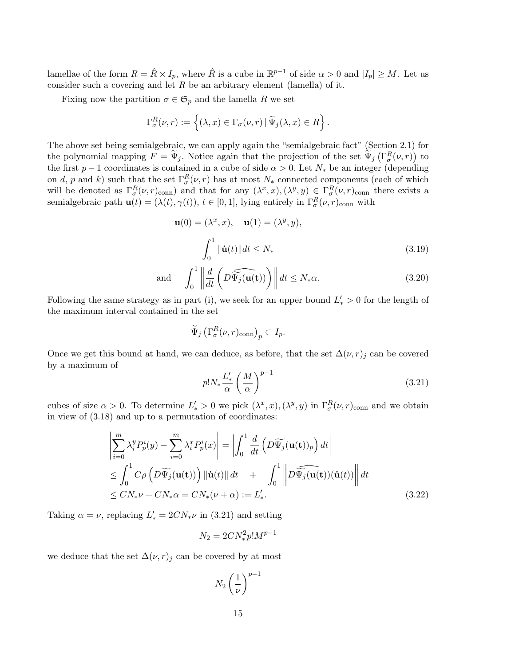lamellae of the form  $R = \hat{R} \times I_p$ , where  $\hat{R}$  is a cube in  $\mathbb{R}^{p-1}$  of side  $\alpha > 0$  and  $|I_p| \geq M$ . Let us consider such a covering and let  $R$  be an arbitrary element (lamella) of it.

Fixing now the partition  $\sigma \in \mathfrak{S}_p$  and the lamella R we set

$$
\Gamma_{\sigma}^{R}(\nu,r) := \left\{ (\lambda, x) \in \Gamma_{\sigma}(\nu,r) \,|\, \widetilde{\Psi}_{j}(\lambda, x) \in R \right\}.
$$

The above set being semialgebraic, we can apply again the "semialgebraic fact" (Section 2.1) for the polynomial mapping  $F = \tilde{\Psi}_j$ . Notice again that the projection of the set  $\tilde{\Psi}_j(\Gamma^R_{\sigma}(\nu,r))$  to the first  $p-1$  coordinates is contained in a cube of side  $\alpha > 0$ . Let  $N_*$  be an integer (depending on d, p and k) such that the set  $\Gamma_{\sigma}^{R}(\nu, r)$  has at most  $N_{*}$  connected components (each of which will be denoted as  $\Gamma_\sigma^R(\nu, r)_{\text{conn}}$  and that for any  $(\lambda^x, x), (\lambda^y, y) \in \Gamma_\sigma^R(\nu, r)_{\text{conn}}$  there exists a semialgebraic path  $\mathbf{u}(t) = (\lambda(t), \gamma(t)), t \in [0, 1],$  lying entirely in  $\Gamma_\sigma^R(\nu, r)_{\text{conn}}$  with

$$
\mathbf{u}(0) = (\lambda^x, x), \quad \mathbf{u}(1) = (\lambda^y, y),
$$

$$
\int_0^1 \|\dot{\mathbf{u}}(t)\| dt \le N_* \tag{3.19}
$$

and 
$$
\int_0^1 \left\| \frac{d}{dt} \left( D\widehat{\Psi_j}(\mathbf{u(t)}) \right) \right\| dt \le N_* \alpha.
$$
 (3.20)

Following the same strategy as in part (i), we seek for an upper bound  $L_*' > 0$  for the length of the maximum interval contained in the set

$$
\widetilde{\Psi}_j \left( \Gamma_{\sigma}^R(\nu, r)_{\text{conn}} \right)_p \subset I_p.
$$

Once we get this bound at hand, we can deduce, as before, that the set  $\Delta(\nu, r)_j$  can be covered by a maximum of

$$
p!N_*\frac{L'_*}{\alpha}\left(\frac{M}{\alpha}\right)^{p-1} \tag{3.21}
$$

cubes of size  $\alpha > 0$ . To determine  $L'_* > 0$  we pick  $(\lambda^x, x), (\lambda^y, y)$  in  $\Gamma_\sigma^R(\nu, r)_{\text{conn}}$  and we obtain in view of (3.18) and up to a permutation of coordinates:

$$
\left| \sum_{i=0}^{m} \lambda_{i}^{y} P_{p}^{i}(y) - \sum_{i=0}^{m} \lambda_{i}^{x} P_{p}^{i}(x) \right| = \left| \int_{0}^{1} \frac{d}{dt} \left( D \widetilde{\Psi}_{j}(\mathbf{u(t)})_{p} \right) dt \right|
$$
  
\n
$$
\leq \int_{0}^{1} C \rho \left( D \widetilde{\Psi}_{j}(\mathbf{u(t)}) \right) \left\| \dot{\mathbf{u}}(t) \right\| dt + \int_{0}^{1} \left\| D \widetilde{\Psi}_{j}(\mathbf{u(t)}) (\dot{\mathbf{u}}(t)) \right\| dt
$$
  
\n
$$
\leq C N_{*} \nu + C N_{*} \alpha = C N_{*} (\nu + \alpha) := L'_{*}.
$$
\n(3.22)

Taking  $\alpha = \nu$ , replacing  $L'_{*} = 2CN_{*}\nu$  in (3.21) and setting

$$
N_2 = 2CN_*^2 p! M^{p-1}
$$

we deduce that the set  $\Delta(\nu, r)_j$  can be covered by at most

$$
N_2\left(\frac{1}{\nu}\right)^{p-1}
$$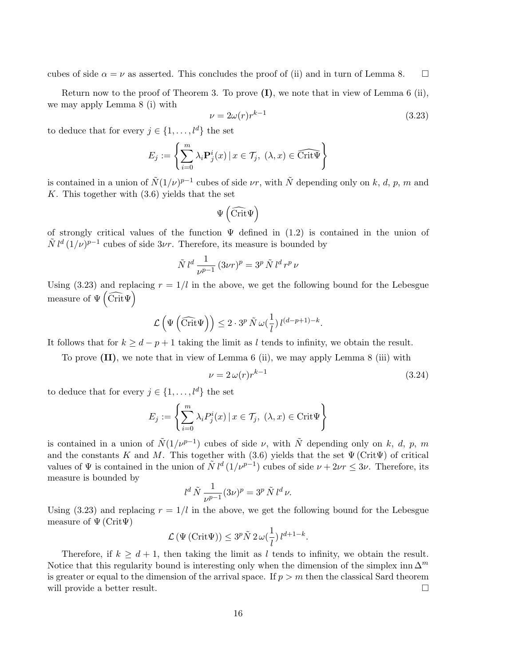cubes of side  $\alpha = \nu$  as asserted. This concludes the proof of (ii) and in turn of Lemma 8.

Return now to the proof of Theorem 3. To prove  $(I)$ , we note that in view of Lemma 6 (ii), we may apply Lemma 8 (i) with

$$
\nu = 2\omega(r)r^{k-1} \tag{3.23}
$$

to deduce that for every  $j \in \{1, ..., l^d\}$  the set

$$
E_j := \left\{ \sum_{i=0}^m \lambda_i \mathbf{P}_j^i(x) \, | \, x \in \mathcal{T}_j, \ (\lambda, x) \in \widehat{\text{Crit}\Psi} \right\}
$$

is contained in a union of  $\tilde{N}(1/\nu)^{p-1}$  cubes of side  $\nu r$ , with  $\tilde{N}$  depending only on k, d, p, m and  $K$ . This together with  $(3.6)$  yields that the set

$$
\Psi\left(\widehat{\rm Crit}\Psi\right)
$$

of strongly critical values of the function  $\Psi$  defined in (1.2) is contained in the union of  $\tilde{N} l^d (1/\nu)^{p-1}$  cubes of side  $3\nu r$ . Therefore, its measure is bounded by

$$
\tilde{N} l^d \frac{1}{\nu^{p-1}} (3\nu r)^p = 3^p \tilde{N} l^d r^p \nu
$$

Using (3.23) and replacing  $r = 1/l$  in the above, we get the following bound for the Lebesgue measure of  $\Psi\left(\widehat{\text{Crit}}\Psi\right)$ 

$$
\mathcal{L}\left(\Psi\left(\widehat{\mathrm{Crit}}\Psi\right)\right) \leq 2 \cdot 3^p \,\tilde{N} \,\omega(\frac{1}{l}) \, l^{(d-p+1)-k}.
$$

It follows that for  $k \geq d - p + 1$  taking the limit as l tends to infinity, we obtain the result.

To prove (II), we note that in view of Lemma 6 (ii), we may apply Lemma 8 (iii) with

$$
\nu = 2\,\omega(r)r^{k-1} \tag{3.24}
$$

to deduce that for every  $j \in \{1, \ldots, l^d\}$  the set

$$
E_j := \left\{ \sum_{i=0}^m \lambda_i P_j^i(x) \, | \, x \in \mathcal{T}_j, \ ( \lambda, x) \in \text{Crit}\Psi \right\}
$$

is contained in a union of  $\tilde{N}(1/\nu^{p-1})$  cubes of side  $\nu$ , with  $\tilde{N}$  depending only on k, d, p, m and the constants K and M. This together with (3.6) yields that the set  $\Psi$  (Crit $\Psi$ ) of critical values of  $\Psi$  is contained in the union of  $\tilde{N} l^d (1/\nu^{p-1})$  cubes of side  $\nu + 2\nu r \leq 3\nu$ . Therefore, its measure is bounded by

$$
l^d \tilde{N} \frac{1}{\nu^{p-1}} (3\nu)^p = 3^p \tilde{N} l^d \nu.
$$

Using (3.23) and replacing  $r = 1/l$  in the above, we get the following bound for the Lebesgue measure of  $\Psi$  (Crit $\Psi$ )

$$
\mathcal{L}\left(\Psi\left(\text{Crit}\Psi\right)\right) \leq 3^p \tilde{N} \, 2 \,\omega\left(\frac{1}{l}\right) l^{d+1-k}.
$$

Therefore, if  $k \geq d+1$ , then taking the limit as l tends to infinity, we obtain the result. Notice that this regularity bound is interesting only when the dimension of the simplex inn  $\Delta^m$ is greater or equal to the dimension of the arrival space. If  $p > m$  then the classical Sard theorem will provide a better result.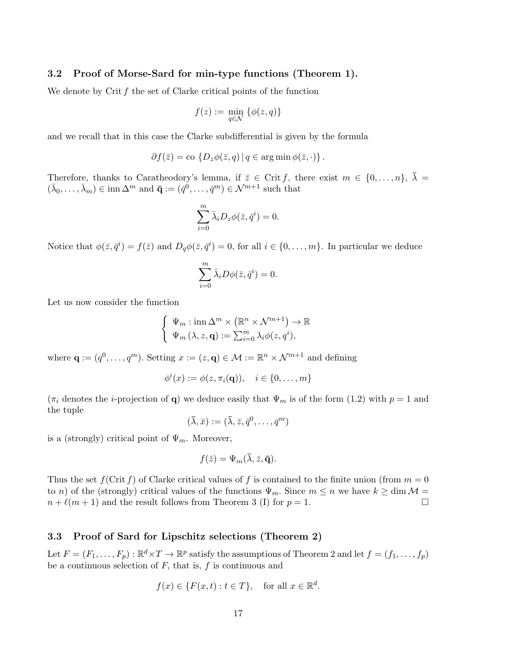#### 3.2 Proof of Morse-Sard for min-type functions (Theorem 1).

We denote by Crit  $f$  the set of Clarke critical points of the function

$$
f(z):=\min_{q\in\mathcal{N}}\ \{\phi(z,q)\}
$$

and we recall that in this case the Clarke subdifferential is given by the formula

$$
\partial f(\bar{z}) = \text{co} \{ D_z \phi(\bar{z}, q) \mid q \in \arg \min \phi(\bar{z}, \cdot) \}.
$$

Therefore, thanks to Caratheodory's lemma, if  $\bar{z} \in \text{Crit } f$ , there exist  $m \in \{0, \ldots, n\}$ ,  $\bar{\lambda} =$  $(\bar{\lambda}_0,\ldots,\bar{\lambda}_m)\in \text{inn }\Delta^m \text{ and } \bar{\mathbf{q}}:=(\bar{q}^0,\ldots,\bar{q}^m)\in \mathcal{N}^{m+1} \text{ such that }$ 

$$
\sum_{i=0}^{m} \bar{\lambda}_i D_z \phi(\bar{z}, \bar{q}^i) = 0.
$$

Notice that  $\phi(\bar{z}, \bar{q}^i) = f(\bar{z})$  and  $D_q \phi(\bar{z}, \bar{q}^i) = 0$ , for all  $i \in \{0, \ldots, m\}$ . In particular we deduce

$$
\sum_{i=0}^m \bar{\lambda}_i D\phi(\bar{z},\bar{q}^i)=0.
$$

Let us now consider the function

$$
\begin{cases} \Psi_m : \text{inn } \Delta^m \times (\mathbb{R}^n \times \mathcal{N}^{m+1}) \to \mathbb{R} \\ \Psi_m (\lambda, z, \mathbf{q}) := \sum_{i=0}^m \lambda_i \phi(z, q^i), \end{cases}
$$

where  $\mathbf{q} := (q^0, \dots, q^m)$ . Setting  $x := (z, \mathbf{q}) \in \mathcal{M} := \mathbb{R}^n \times \mathcal{N}^{m+1}$  and defining

$$
\phi^i(x) := \phi(z, \pi_i(\mathbf{q})), \quad i \in \{0, \dots, m\}
$$

 $(\pi_i$  denotes the *i*-projection of **q**) we deduce easily that  $\Psi_m$  is of the form (1.2) with  $p = 1$  and the tuple

$$
(\bar{\lambda}, \bar{x}) := (\bar{\lambda}, \bar{z}, \bar{q}^0, \dots, \bar{q}^m)
$$

is a (strongly) critical point of  $\Psi_m$ . Moreover,

$$
f(\bar{z}) = \Psi_m(\bar{\lambda}, \bar{z}, \bar{\mathbf{q}}).
$$

Thus the set  $f(\text{Crit } f)$  of Clarke critical values of f is contained to the finite union (from  $m = 0$ to n) of the (strongly) critical values of the functions  $\Psi_m$ . Since  $m \leq n$  we have  $k \geq \dim \mathcal{M} =$  $n + \ell(m + 1)$  and the result follows from Theorem 3 (I) for  $p = 1$ .

#### 3.3 Proof of Sard for Lipschitz selections (Theorem 2)

Let  $F = (F_1, \ldots, F_p) : \mathbb{R}^d \times T \to \mathbb{R}^p$  satisfy the assumptions of Theorem 2 and let  $f = (f_1, \ldots, f_p)$ be a continuous selection of  $F$ , that is,  $f$  is continuous and

$$
f(x) \in \{F(x,t) : t \in T\}, \quad \text{for all } x \in \mathbb{R}^d.
$$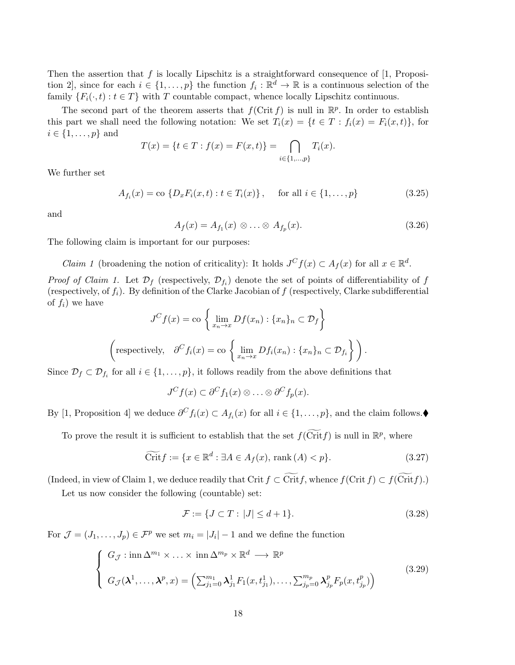Then the assertion that  $f$  is locally Lipschitz is a straightforward consequence of  $[1, P$ roposition 2, since for each  $i \in \{1, \ldots, p\}$  the function  $f_i : \mathbb{R}^d \to \mathbb{R}$  is a continuous selection of the family  $\{F_i(\cdot,t): t \in T\}$  with T countable compact, whence locally Lipschitz continuous.

The second part of the theorem asserts that  $f(\text{Crit } f)$  is null in  $\mathbb{R}^p$ . In order to establish this part we shall need the following notation: We set  $T_i(x) = \{t \in T : f_i(x) = F_i(x, t)\}\,$  for  $i \in \{1, \ldots, p\}$  and

$$
T(x) = \{t \in T : f(x) = F(x, t)\} = \bigcap_{i \in \{1, \dots, p\}} T_i(x).
$$

We further set

$$
A_{f_i}(x) = \text{co } \{ D_x F_i(x, t) : t \in T_i(x) \}, \quad \text{for all } i \in \{ 1, \dots, p \}
$$
 (3.25)

and

$$
A_f(x) = A_{f_1}(x) \otimes \ldots \otimes A_{f_p}(x). \tag{3.26}
$$

The following claim is important for our purposes:

*Claim 1* (broadening the notion of criticality): It holds  $J^C f(x) \subset A_f(x)$  for all  $x \in \mathbb{R}^d$ .

*Proof of Claim 1.* Let  $\mathcal{D}_f$  (respectively,  $\mathcal{D}_{f_i}$ ) denote the set of points of differentiability of f (respectively, of  $f_i$ ). By definition of the Clarke Jacobian of f (respectively, Clarke subdifferential of  $f_i$ ) we have

$$
J^{C}f(x) = \text{co}\left\{\lim_{x_n \to x} Df(x_n) : \{x_n\}_n \subset \mathcal{D}_f\right\}
$$
  
\n
$$
\left(\text{respectively, } \partial^{C}f_i(x) = \text{co}\left\{\lim_{x_n \to x} Df_i(x_n) : \{x_n\}_n \subset \mathcal{D}_{f_i}\right\}\right).
$$

Since  $\mathcal{D}_f \subset \mathcal{D}_{f_i}$  for all  $i \in \{1, \ldots, p\}$ , it follows readily from the above definitions that

$$
J^{C} f(x) \subset \partial^{C} f_1(x) \otimes \ldots \otimes \partial^{C} f_p(x).
$$

By [1, Proposition 4] we deduce  $\partial^C f_i(x) \subset A_{f_i}(x)$  for all  $i \in \{1, \ldots, p\}$ , and the claim follows.

To prove the result it is sufficient to establish that the set  $f(\widetilde{\text{Crit}} f)$  is null in  $\mathbb{R}^p$ , where

$$
\widetilde{\text{Crit}}f := \{ x \in \mathbb{R}^d : \exists A \in A_f(x), \text{ rank}(A) < p \}. \tag{3.27}
$$

(Indeed, in view of Claim 1, we deduce readily that Crit  $f \subset \widetilde{\text{Crit}} f$ , whence  $f(\text{Crit } f) \subset f(\widetilde{\text{Crit}} f)$ .)

Let us now consider the following (countable) set:

$$
\mathcal{F} := \{ J \subset T : |J| \le d + 1 \}. \tag{3.28}
$$

For  $\mathcal{J} = (J_1, \ldots, J_p) \in \mathcal{F}^p$  we set  $m_i = |J_i| - 1$  and we define the function

$$
\begin{cases}\nG_{\mathcal{J}}: \operatorname{inn}\Delta^{m_1} \times \ldots \times \operatorname{inn}\Delta^{m_p} \times \mathbb{R}^d \longrightarrow \mathbb{R}^p \\
G_{\mathcal{J}}(\lambda^1, \ldots, \lambda^p, x) = \left(\sum_{j_1=0}^{m_1} \lambda_{j_1}^1 F_1(x, t_{j_1}^1), \ldots, \sum_{j_p=0}^{m_p} \lambda_{j_p}^p F_p(x, t_{j_p}^p)\right)\n\end{cases} \tag{3.29}
$$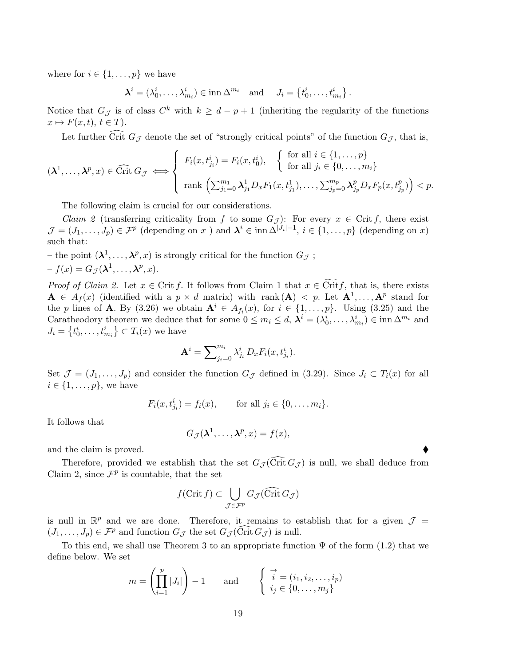where for  $i \in \{1, \ldots, p\}$  we have

 $\boldsymbol{\lambda}^i = (\lambda_0^i, \dots, \lambda_{m_i}^i) \in \text{inn } \Delta^{m_i} \text{ and } J_i = \left\{ t_0^i, \dots, t_{m_i}^i \right\}.$ 

Notice that  $G_{\mathcal{J}}$  is of class  $C^k$  with  $k \geq d-p+1$  (inheriting the regularity of the functions  $x \mapsto F(x, t), t \in T$ .

Let further Crit  $G_{\mathcal{J}}$  denote the set of "strongly critical points" of the function  $G_{\mathcal{J}}$ , that is,

$$
(\boldsymbol{\lambda}^1,\ldots,\boldsymbol{\lambda}^p,x)\in\widehat{\rm Crit}\,G_{\mathcal{J}}\iff\left\{\begin{array}{l}F_i(x,t^i_{j_i})=F_i(x,t^i_0),\quad\left\{\begin{array}{l}\text{for all }i\in\{1,\ldots,p\}\\ \text{for all }j_i\in\{0,\ldots,m_i\}\end{array}\right.\\\text{rank}\,\left(\sum_{j_1=0}^{m_1}\boldsymbol{\lambda}^1_{j_1}D_xF_1(x,t^1_{j_1}),\ldots,\sum_{j_p=0}^{m_p}\boldsymbol{\lambda}^p_{j_p}D_xF_p(x,t^p_{j_p})\right)
$$

The following claim is crucial for our considerations.

*Claim 2* (transferring criticality from f to some  $G_{\mathcal{J}}$ ): For every  $x \in \text{Crit } f$ , there exist  $\mathcal{J} = (J_1, \ldots, J_p) \in \mathcal{F}^p$  (depending on x) and  $\mathbf{\lambda}^i \in \text{inn } \Delta^{|J_i|-1}, i \in \{1, \ldots, p\}$  (depending on x) such that:

– the point  $(\lambda^1, \ldots, \lambda^p, x)$  is strongly critical for the function  $G_{\mathcal{J}}$ ;  $-f(x) = G_{\mathcal{J}}(\lambda^1, \ldots, \lambda^p, x).$ 

*Proof of Claim 2.* Let  $x \in \text{Crit } f$ . It follows from Claim 1 that  $x \in \text{Crit } f$ , that is, there exists  $\mathbf{A} \in A_f(x)$  (identified with a  $p \times d$  matrix) with rank  $(\mathbf{A}) \leq p$ . Let  $\mathbf{A}^1, \ldots, \mathbf{A}^p$  stand for the p lines of **A**. By (3.26) we obtain  $A^i \in A_{f_i}(x)$ , for  $i \in \{1, ..., p\}$ . Using (3.25) and the Caratheodory theorem we deduce that for some  $0 \leq m_i \leq d$ ,  $\lambda^i = (\lambda_0^i, \dots, \lambda_{m_i}^i) \in \text{inn } \Delta^{m_i}$  and  $J_i = \left\{ t_0^i, \ldots, t_{m_i}^i \right\} \subset T_i(x)$  we have

$$
\mathbf{A}^i = \sum\nolimits_{j_i=0}^{m_i} \lambda_{j_i}^i D_x F_i(x, t_{j_i}^i).
$$

Set  $\mathcal{J} = (J_1, \ldots, J_p)$  and consider the function  $G_{\mathcal{J}}$  defined in (3.29). Since  $J_i \subset T_i(x)$  for all  $i \in \{1, \ldots, p\}$ , we have

$$
F_i(x, t_{j_i}^i) = f_i(x),
$$
 for all  $j_i \in \{0, ..., m_i\}.$ 

It follows that

$$
G_{\mathcal{J}}(\lambda^1,\ldots,\lambda^p,x)=f(x),
$$

and the claim is proved.

Therefore, provided we establish that the set  $G_{\mathcal{J}}(\widehat{\text{Crit}} G_{\mathcal{J}})$  is null, we shall deduce from Claim 2, since  $\mathcal{F}^p$  is countable, that the set

$$
f(\operatorname{Crit} f) \subset \bigcup_{\mathcal{J} \in \mathcal{F}^p} G_{\mathcal{J}}(\widehat{\operatorname{Crit}}\,G_{\mathcal{J}})
$$

is null in  $\mathbb{R}^p$  and we are done. Therefore, it remains to establish that for a given  $\mathcal{J} =$  $(J_1, \ldots, J_p) \in \mathcal{F}^p$  and function  $G_{\mathcal{J}}$  the set  $G_{\mathcal{J}}(\text{Crit } G_{\mathcal{J}})$  is null.

To this end, we shall use Theorem 3 to an appropriate function  $\Psi$  of the form (1.2) that we define below. We set

$$
m = \left(\prod_{i=1}^{p} |J_i|\right) - 1 \quad \text{and} \quad \begin{cases} \overrightarrow{i} = (i_1, i_2, \dots, i_p) \\ i_j \in \{0, \dots, m_j\} \end{cases}
$$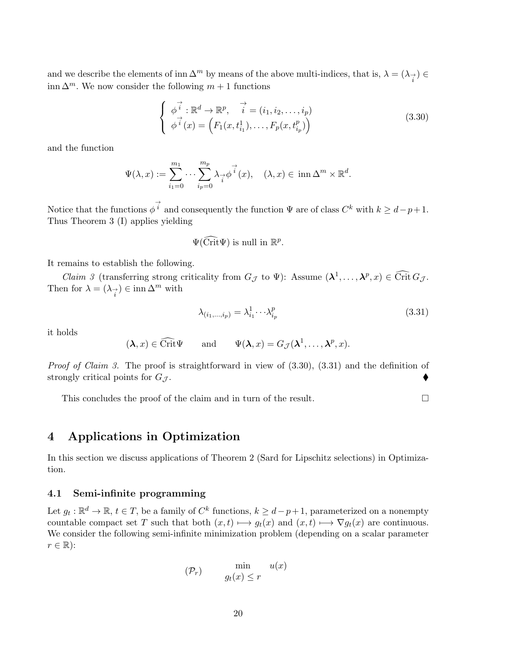and we describe the elements of inn  $\Delta^m$  by means of the above multi-indices, that is,  $\lambda = (\lambda_{\vec{i}}) \in$ inn  $\Delta^m$ . We now consider the following  $m+1$  functions

$$
\begin{cases}\n\overrightarrow{\phi}^i : \mathbb{R}^d \to \mathbb{R}^p, \quad \overrightarrow{i} = (i_1, i_2, \dots, i_p) \\
\overrightarrow{\phi}^i(x) = \left( F_1(x, t_{i_1}^1), \dots, F_p(x, t_{i_p}^p) \right)\n\end{cases} \tag{3.30}
$$

and the function

$$
\Psi(\lambda, x) := \sum_{i_1=0}^{m_1} \cdots \sum_{i_p=0}^{m_p} \lambda_{\overrightarrow{i}} \overrightarrow{\phi}^i(x), \quad (\lambda, x) \in \operatorname{inn} \Delta^m \times \mathbb{R}^d.
$$

Notice that the functions  $\phi^{\vec{i}}$  and consequently the function  $\Psi$  are of class  $C^k$  with  $k \geq d-p+1$ . Thus Theorem 3 (I) applies yielding

$$
\Psi(\widehat{\text{Crit}}\Psi)
$$
 is null in  $\mathbb{R}^p$ .

It remains to establish the following.

Claim 3 (transferring strong criticality from  $G_{\mathcal{J}}$  to  $\Psi$ ): Assume  $(\lambda^1, \ldots, \lambda^p, x) \in \widehat{\text{Crit }} G_{\mathcal{J}}$ . Then for  $\lambda = (\lambda_{\overrightarrow{i}}) \in \text{inn }\Delta^m$  with

$$
\lambda_{(i_1,\ldots,i_p)} = \lambda_{i_1}^1 \cdots \lambda_{i_p}^p \tag{3.31}
$$

it holds

$$
(\lambda, x) \in \widehat{\text{Crit}}\Psi
$$
 and  $\Psi(\lambda, x) = G_{\mathcal{J}}(\lambda^1, \dots, \lambda^p, x).$ 

*Proof of Claim 3.* The proof is straightforward in view of  $(3.30)$ ,  $(3.31)$  and the definition of strongly critical points for  $G_{\mathcal{J}}$ .

This concludes the proof of the claim and in turn of the result.

## 4 Applications in Optimization

In this section we discuss applications of Theorem 2 (Sard for Lipschitz selections) in Optimization.

### 4.1 Semi-infinite programming

Let  $g_t: \mathbb{R}^d \to \mathbb{R}, t \in T$ , be a family of  $C^k$  functions,  $k \geq d-p+1$ , parameterized on a nonempty countable compact set T such that both  $(x, t) \mapsto q_t(x)$  and  $(x, t) \mapsto \nabla q_t(x)$  are continuous. We consider the following semi-infinite minimization problem (depending on a scalar parameter  $r \in \mathbb{R}$ :

$$
(\mathcal{P}_r) \qquad \min_{g_t(x) \le r} u(x)
$$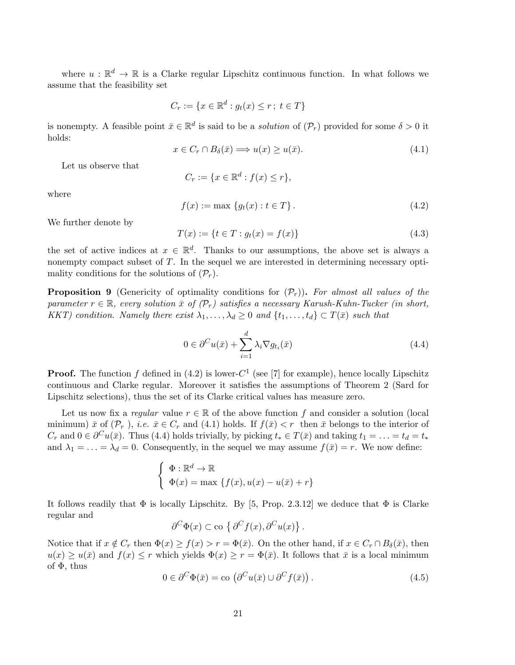where  $u : \mathbb{R}^d \to \mathbb{R}$  is a Clarke regular Lipschitz continuous function. In what follows we assume that the feasibility set

$$
C_r := \{ x \in \mathbb{R}^d : g_t(x) \le r \, ; \ t \in T \}
$$

is nonempty. A feasible point  $\bar{x} \in \mathbb{R}^d$  is said to be a *solution* of  $(\mathcal{P}_r)$  provided for some  $\delta > 0$  it holds:

$$
x \in C_r \cap B_\delta(\bar{x}) \Longrightarrow u(x) \ge u(\bar{x}). \tag{4.1}
$$

Let us observe that

$$
C_r := \{ x \in \mathbb{R}^d : f(x) \le r \},
$$

where

$$
f(x) := \max \{g_t(x) : t \in T\}.
$$
 (4.2)

We further denote by

$$
T(x) := \{ t \in T : g_t(x) = f(x) \}
$$
\n(4.3)

the set of active indices at  $x \in \mathbb{R}^d$ . Thanks to our assumptions, the above set is always a nonempty compact subset of T. In the sequel we are interested in determining necessary optimality conditions for the solutions of  $(\mathcal{P}_r)$ .

**Proposition 9** (Genericity of optimality conditions for  $(\mathcal{P}_r)$ ). For almost all values of the parameter  $r \in \mathbb{R}$ , every solution  $\bar{x}$  of  $(\mathcal{P}_r)$  satisfies a necessary Karush-Kuhn-Tucker (in short, KKT) condition. Namely there exist  $\lambda_1, \ldots, \lambda_d \geq 0$  and  $\{t_1, \ldots, t_d\} \subset T(\bar{x})$  such that

$$
0 \in \partial^{C} u(\bar{x}) + \sum_{i=1}^{d} \lambda_i \nabla g_{t_i}(\bar{x})
$$
\n(4.4)

**Proof.** The function f defined in (4.2) is lower- $C^1$  (see [7] for example), hence locally Lipschitz continuous and Clarke regular. Moreover it satisfies the assumptions of Theorem 2 (Sard for Lipschitz selections), thus the set of its Clarke critical values has measure zero.

Let us now fix a regular value  $r \in \mathbb{R}$  of the above function f and consider a solution (local minimum)  $\bar{x}$  of  $(\mathcal{P}_r)$ , *i.e.*  $\bar{x} \in C_r$  and (4.1) holds. If  $f(\bar{x}) < r$  then  $\bar{x}$  belongs to the interior of  $C_r$  and  $0 \in \partial^C u(\bar{x})$ . Thus (4.4) holds trivially, by picking  $t_* \in T(\bar{x})$  and taking  $t_1 = \ldots = t_d = t_*$ and  $\lambda_1 = \ldots = \lambda_d = 0$ . Consequently, in the sequel we may assume  $f(\bar{x}) = r$ . We now define:

$$
\begin{cases} \Phi : \mathbb{R}^d \to \mathbb{R} \\ \Phi(x) = \max \{ f(x), u(x) - u(\bar{x}) + r \} \end{cases}
$$

It follows readily that  $\Phi$  is locally Lipschitz. By [5, Prop. 2.3.12] we deduce that  $\Phi$  is Clarke regular and

$$
\partial^C \Phi(x) \subset \text{co } \{\partial^C f(x), \partial^C u(x)\}.
$$

Notice that if  $x \notin C_r$  then  $\Phi(x) \ge f(x) > r = \Phi(\bar{x})$ . On the other hand, if  $x \in C_r \cap B_\delta(\bar{x})$ , then  $u(x) \geq u(\bar{x})$  and  $f(x) \leq r$  which yields  $\Phi(x) \geq r = \Phi(\bar{x})$ . It follows that  $\bar{x}$  is a local minimum of  $\Phi$ , thus

$$
0 \in \partial^C \Phi(\bar{x}) = \text{co} \left( \partial^C u(\bar{x}) \cup \partial^C f(\bar{x}) \right). \tag{4.5}
$$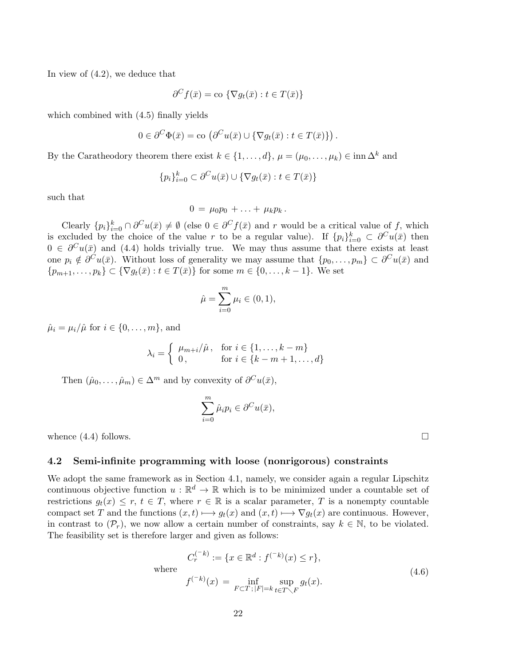In view of (4.2), we deduce that

$$
\partial^C f(\bar{x}) = \text{co } \{ \nabla g_t(\bar{x}) : t \in T(\bar{x}) \}
$$

which combined with  $(4.5)$  finally yields

$$
0 \in \partial^C \Phi(\bar{x}) = \text{co}\left(\partial^C u(\bar{x}) \cup \{\nabla g_t(\bar{x}) : t \in T(\bar{x})\}\right).
$$

By the Caratheodory theorem there exist  $k \in \{1, ..., d\}$ ,  $\mu = (\mu_0, ..., \mu_k) \in \text{inn } \Delta^k$  and

$$
\{p_i\}_{i=0}^k \subset \partial^C u(\bar{x}) \cup \{\nabla g_t(\bar{x}) : t \in T(\bar{x})\}
$$

such that

$$
0 = \mu_0 p_0 + \ldots + \mu_k p_k.
$$

Clearly  $\{p_i\}_{i=0}^k \cap \partial^C u(\bar{x}) \neq \emptyset$  (else  $0 \in \partial^C f(\bar{x})$  and r would be a critical value of f, which is excluded by the choice of the value r to be a regular value). If  $\{p_i\}_{i=0}^k \subset \partial^C u(\bar{x})$  then  $0 \in \partial^C u(\bar{x})$  and (4.4) holds trivially true. We may thus assume that there exists at least one  $p_i \notin \partial^C u(\bar{x})$ . Without loss of generality we may assume that  $\{p_0, \ldots, p_m\} \subset \partial^C u(\bar{x})$  and  $\{p_{m+1}, \ldots, p_k\} \subset \{\nabla g_t(\bar{x}) : t \in T(\bar{x})\}$  for some  $m \in \{0, \ldots, k-1\}$ . We set

$$
\hat{\mu} = \sum_{i=0}^{m} \mu_i \in (0, 1),
$$

 $\hat{\mu}_i = \mu_i / \hat{\mu}$  for  $i \in \{0, \ldots, m\}$ , and

$$
\lambda_i = \begin{cases} \mu_{m+i}/\hat{\mu}, & \text{for } i \in \{1, \dots, k-m\} \\ 0, & \text{for } i \in \{k-m+1, \dots, d\} \end{cases}
$$

Then  $(\hat{\mu}_0, \ldots, \hat{\mu}_m) \in \Delta^m$  and by convexity of  $\partial^C u(\bar{x}),$ 

$$
\sum_{i=0}^{m} \hat{\mu}_i p_i \in \partial^C u(\bar{x}),
$$

whence  $(4.4)$  follows.

#### 4.2 Semi-infinite programming with loose (nonrigorous) constraints

 $(−i)$ 

We adopt the same framework as in Section 4.1, namely, we consider again a regular Lipschitz continuous objective function  $u : \mathbb{R}^d \to \mathbb{R}$  which is to be minimized under a countable set of restrictions  $g_t(x) \leq r$ ,  $t \in T$ , where  $r \in \mathbb{R}$  is a scalar parameter, T is a nonempty countable compact set T and the functions  $(x, t) \mapsto g_t(x)$  and  $(x, t) \mapsto \nabla g_t(x)$  are continuous. However, in contrast to  $(\mathcal{P}_r)$ , we now allow a certain number of constraints, say  $k \in \mathbb{N}$ , to be violated. The feasibility set is therefore larger and given as follows:

where  
\n
$$
C_r^{(-k)} := \{ x \in \mathbb{R}^d : f^{(-k)}(x) \le r \},
$$
\n
$$
f^{(-k)}(x) = \inf_{F \subset T; |F| = k} \sup_{t \in T \setminus F} g_t(x).
$$
\n(4.6)

22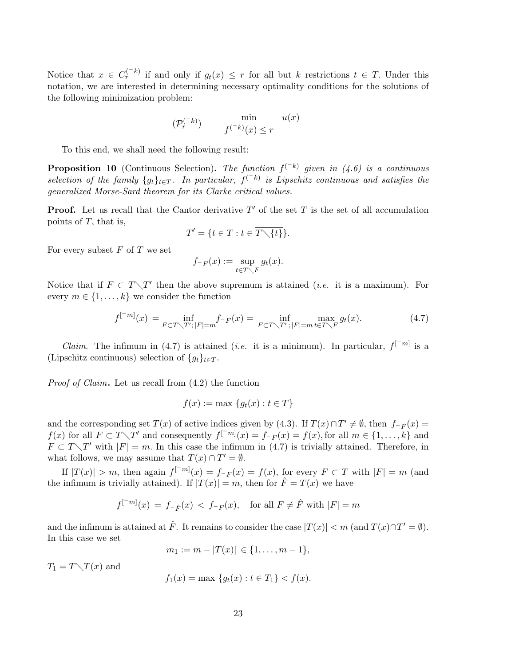Notice that  $x \in C_r^{(-k)}$  if and only if  $g_t(x) \leq r$  for all but k restrictions  $t \in T$ . Under this notation, we are interested in determining necessary optimality conditions for the solutions of the following minimization problem:

$$
(\mathcal{P}_r^{(-k)}) \qquad \min_{f^{(-k)}(x) \le r} u(x)
$$

To this end, we shall need the following result:

**Proposition 10** (Continuous Selection). The function  $f^{(-k)}$  given in (4.6) is a continuous selection of the family  $\{g_t\}_{t\in T}$ . In particular,  $f^{(-k)}$  is Lipschitz continuous and satisfies the generalized Morse-Sard theorem for its Clarke critical values.

**Proof.** Let us recall that the Cantor derivative  $T'$  of the set T is the set of all accumulation points of  $T$ , that is,

$$
T' = \{ t \in T : t \in \overline{T \setminus \{t\}} \}.
$$

For every subset  $F$  of  $T$  we set

$$
f_{-F}(x) := \sup_{t \in T \setminus F} g_t(x).
$$

Notice that if  $F \subset T \setminus T'$  then the above supremum is attained *(i.e.* it is a maximum). For every  $m \in \{1, \ldots, k\}$  we consider the function

$$
f^{[-m]}(x) = \inf_{F \subset T \setminus T';\, |F| = m} f_{-F}(x) = \inf_{F \subset T \setminus T';\, |F| = m} \max_{t \in T \setminus F} g_t(x). \tag{4.7}
$$

*Claim.* The infimum in (4.7) is attained (*i.e.* it is a minimum). In particular,  $f^{[-m]}$  is a (Lipschitz continuous) selection of  $\{g_t\}_{t\in T}$ .

*Proof of Claim.* Let us recall from  $(4.2)$  the function

$$
f(x) := \max \{g_t(x) : t \in T\}
$$

and the corresponding set  $T(x)$  of active indices given by (4.3). If  $T(x) \cap T' \neq \emptyset$ , then  $f_{-F}(x) =$  $f(x)$  for all  $F \subset T \setminus T'$  and consequently  $f^{[-m]}(x) = f_{-F}(x) = f(x)$ , for all  $m \in \{1, \ldots, k\}$  and  $F \subset T \setminus T'$  with  $|F| = m$ . In this case the infimum in (4.7) is trivially attained. Therefore, in what follows, we may assume that  $T(x) \cap T' = \emptyset$ .

If  $|T(x)| > m$ , then again  $f^{-m}(x) = f_{-F}(x) = f(x)$ , for every  $F \subset T$  with  $|F| = m$  (and the infimum is trivially attained). If  $|T(x)| = m$ , then for  $\hat{F} = T(x)$  we have

$$
f^{[-m]}(x) = f_{-\hat{F}}(x) < f_{-F}(x)
$$
, for all  $F \neq \hat{F}$  with  $|F| = m$ 

and the infimum is attained at  $\hat{F}$ . It remains to consider the case  $|T(x)| < m$  (and  $T(x) \cap T' = \emptyset$ ). In this case we set

 $m_1 := m - |T(x)| \in \{1, \ldots, m-1\},\$ 

 $T_1 = T \setminus T(x)$  and

$$
f_1(x) = \max \{g_t(x) : t \in T_1\} < f(x).
$$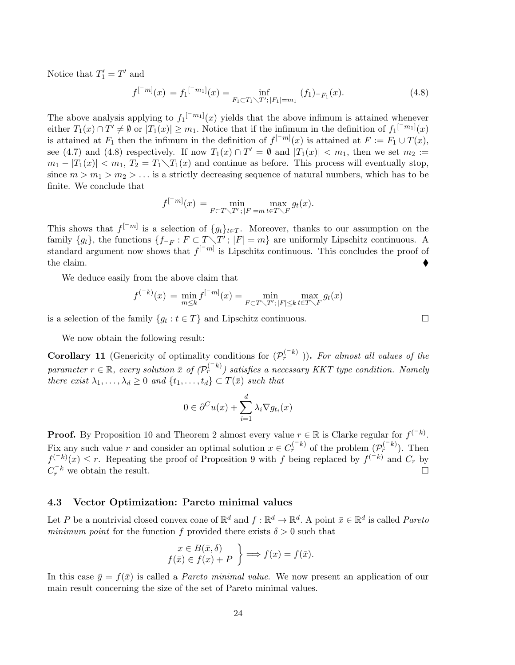Notice that  $T_1' = T'$  and

$$
f^{[-m]}(x) = f_1^{[-m_1]}(x) = \inf_{F_1 \subset T_1 \setminus T';\, |F_1| = m_1} (f_1)_{-F_1}(x). \tag{4.8}
$$

The above analysis applying to  $f_1^{[-m_1]}(x)$  yields that the above infimum is attained whenever either  $T_1(x) \cap T' \neq \emptyset$  or  $|T_1(x)| \geq m_1$ . Notice that if the infimum in the definition of  $f_1^{[-m_1]}(x)$ is attained at  $F_1$  then the infimum in the definition of  $f^{[-m]}(x)$  is attained at  $F := F_1 \cup T(x)$ , see (4.7) and (4.8) respectively. If now  $T_1(x) \cap T' = \emptyset$  and  $|T_1(x)| < m_1$ , then we set  $m_2 :=$  $m_1 - |T_1(x)| < m_1$ ,  $T_2 = T_1 \setminus T_1(x)$  and continue as before. This process will eventually stop, since  $m > m_1 > m_2 > ...$  is a strictly decreasing sequence of natural numbers, which has to be finite. We conclude that

$$
f^{[-m]}(x) = \min_{F \subset T \setminus T' ; |F| = m} \max_{t \in T \setminus F} g_t(x).
$$

This shows that  $f^{-m}$  is a selection of  $\{g_t\}_{t\in T}$ . Moreover, thanks to our assumption on the family  $\{g_t\}$ , the functions  $\{f_{\neg F}: F \subset T \setminus T'$ ;  $|F| = m\}$  are uniformly Lipschitz continuous. A standard argument now shows that  $f^{[-m]}$  is Lipschitz continuous. This concludes the proof of the claim.

We deduce easily from the above claim that

$$
f^{(-k)}(x) = \min_{m \leq k} f^{[-m]}(x) = \min_{F \subset T \setminus T';\, |F| \leq k} \max_{t \in T \setminus F} g_t(x)
$$

is a selection of the family  $\{g_t : t \in T\}$  and Lipschitz continuous.

We now obtain the following result:

**Corollary 11** (Genericity of optimality conditions for  $(\mathcal{P}_r^{(-k)})$ ). For almost all values of the parameter  $r \in \mathbb{R}$ , every solution  $\bar{x}$  of  $(\mathcal{P}_r^{(-k)})$  satisfies a necessary KKT type condition. Namely there exist  $\lambda_1, \ldots, \lambda_d \geq 0$  and  $\{t_1, \ldots, t_d\} \subset T(\bar{x})$  such that

$$
0 \in \partial^C u(x) + \sum_{i=1}^d \lambda_i \nabla g_{t_i}(x)
$$

**Proof.** By Proposition 10 and Theorem 2 almost every value  $r \in \mathbb{R}$  is Clarke regular for  $f^{(-k)}$ . Fix any such value r and consider an optimal solution  $x \in C_r^{(-k)}$  of the problem  $(\mathcal{P}_r^{(-k)})$ . Then  $f^{(-k)}(x) \leq r$ . Repeating the proof of Proposition 9 with f being replaced by  $f^{(-k)}$  and  $C_r$  by  $C_r^{-k}$  we obtain the result.

#### 4.3 Vector Optimization: Pareto minimal values

Let P be a nontrivial closed convex cone of  $\mathbb{R}^d$  and  $f : \mathbb{R}^d \to \mathbb{R}^d$ . A point  $\bar{x} \in \mathbb{R}^d$  is called Pareto minimum point for the function f provided there exists  $\delta > 0$  such that

$$
\begin{aligned}\nx \in B(\bar{x}, \delta) \\
f(\bar{x}) \in f(x) + P\n\end{aligned}\n\implies f(x) = f(\bar{x}).
$$

In this case  $\bar{y} = f(\bar{x})$  is called a *Pareto minimal value*. We now present an application of our main result concerning the size of the set of Pareto minimal values.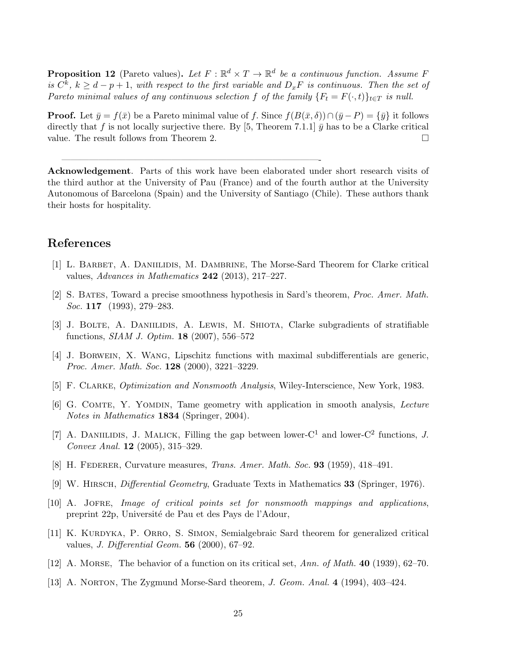**Proposition 12** (Pareto values). Let  $F : \mathbb{R}^d \times T \to \mathbb{R}^d$  be a continuous function. Assume F is  $C^k$ ,  $k \geq d-p+1$ , with respect to the first variable and  $D_xF$  is continuous. Then the set of Pareto minimal values of any continuous selection f of the family  $\{F_t = F(\cdot, t)\}_{t \in T}$  is null.

**Proof.** Let  $\bar{y} = f(\bar{x})$  be a Pareto minimal value of f. Since  $f(B(\bar{x}, \delta)) \cap (\bar{y} - P) = {\bar{y}}$  it follows directly that f is not locally surjective there. By [5, Theorem 7.1.1]  $\bar{y}$  has to be a Clarke critical value. The result follows from Theorem 2.

Acknowledgement. Parts of this work have been elaborated under short research visits of the third author at the University of Pau (France) and of the fourth author at the University Autonomous of Barcelona (Spain) and the University of Santiago (Chile). These authors thank their hosts for hospitality.

————————————————————————————-

## References

- [1] L. BARBET, A. DANIILIDIS, M. DAMBRINE, The Morse-Sard Theorem for Clarke critical values, Advances in Mathematics 242 (2013), 217–227.
- [2] S. Bates, Toward a precise smoothness hypothesis in Sard's theorem, Proc. Amer. Math. Soc. **117** (1993), 279–283.
- [3] J. Bolte, A. Daniilidis, A. Lewis, M. Shiota, Clarke subgradients of stratifiable functions, SIAM J. Optim. 18 (2007), 556–572
- [4] J. Borwein, X. Wang, Lipschitz functions with maximal subdifferentials are generic, Proc. Amer. Math. Soc. 128 (2000), 3221-3229.
- [5] F. Clarke, Optimization and Nonsmooth Analysis, Wiley-Interscience, New York, 1983.
- [6] G. Comte, Y. Yomdin, Tame geometry with application in smooth analysis, Lecture Notes in Mathematics 1834 (Springer, 2004).
- [7] A. DANIILIDIS, J. MALICK, Filling the gap between lower- $C^1$  and lower- $C^2$  functions, J. Convex Anal. 12 (2005), 315–329.
- [8] H. FEDERER, Curvature measures, *Trans. Amer. Math. Soc.* **93** (1959), 418–491.
- [9] W. Hirsch, Differential Geometry, Graduate Texts in Mathematics 33 (Springer, 1976).
- [10] A. Jofre, Image of critical points set for nonsmooth mappings and applications, preprint 22p, Université de Pau et des Pays de l'Adour,
- [11] K. KURDYKA, P. ORRO, S. SIMON, Semialgebraic Sard theorem for generalized critical values, J. Differential Geom. 56 (2000), 67–92.
- [12] A. Morse, The behavior of a function on its critical set, Ann. of Math. 40 (1939), 62–70.
- [13] A. Norton, The Zygmund Morse-Sard theorem, J. Geom. Anal. 4 (1994), 403–424.